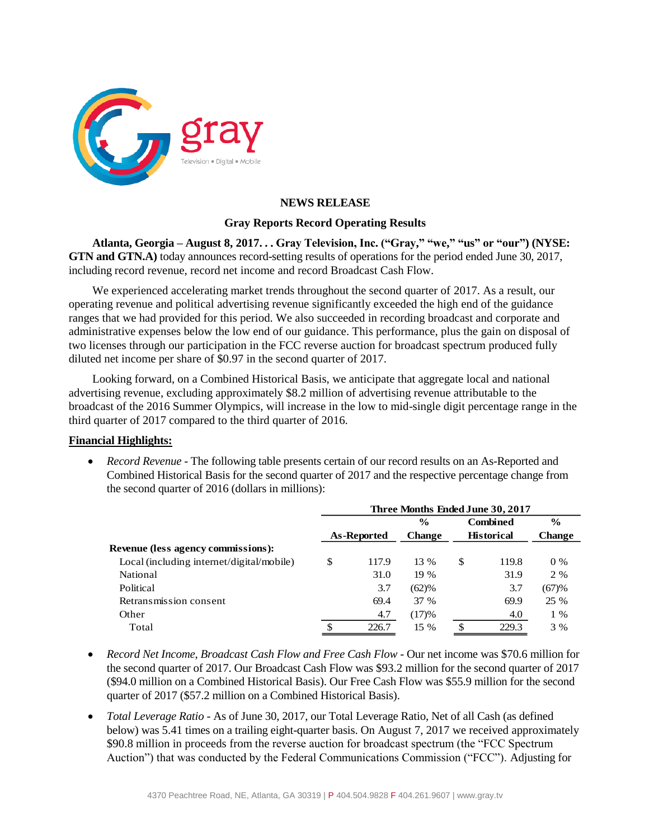

### **NEWS RELEASE**

### **Gray Reports Record Operating Results**

**Atlanta, Georgia – August 8, 2017. . . Gray Television, Inc. ("Gray," "we," "us" or "our") (NYSE: GTN and GTN.A)** today announces record-setting results of operations for the period ended June 30, 2017, including record revenue, record net income and record Broadcast Cash Flow.

We experienced accelerating market trends throughout the second quarter of 2017. As a result, our operating revenue and political advertising revenue significantly exceeded the high end of the guidance ranges that we had provided for this period. We also succeeded in recording broadcast and corporate and administrative expenses below the low end of our guidance. This performance, plus the gain on disposal of two licenses through our participation in the FCC reverse auction for broadcast spectrum produced fully diluted net income per share of \$0.97 in the second quarter of 2017.

Looking forward, on a Combined Historical Basis, we anticipate that aggregate local and national advertising revenue, excluding approximately \$8.2 million of advertising revenue attributable to the broadcast of the 2016 Summer Olympics, will increase in the low to mid-single digit percentage range in the third quarter of 2017 compared to the third quarter of 2016.

### **Financial Highlights:**

 *Record Revenue* - The following table presents certain of our record results on an As-Reported and Combined Historical Basis for the second quarter of 2017 and the respective percentage change from the second quarter of 2016 (dollars in millions):

|                                           | Three Months Ended June 30, 2017 |             |               |                 |                   |               |  |  |  |  |
|-------------------------------------------|----------------------------------|-------------|---------------|-----------------|-------------------|---------------|--|--|--|--|
|                                           |                                  |             | $\frac{6}{6}$ | <b>Combined</b> |                   | $\frac{6}{9}$ |  |  |  |  |
|                                           |                                  | As-Reported | <b>Change</b> |                 | <b>Historical</b> | <b>Change</b> |  |  |  |  |
| <b>Revenue (less agency commissions):</b> |                                  |             |               |                 |                   |               |  |  |  |  |
| Local (including internet/digital/mobile) | \$                               | 117.9       | 13 %          | \$              | 119.8             | $0\%$         |  |  |  |  |
| National                                  |                                  | 31.0        | 19 %          |                 | 31.9              | 2 %           |  |  |  |  |
| Political                                 |                                  | 3.7         | (62)%         |                 | 3.7               | (67)%         |  |  |  |  |
| Retransmission consent                    |                                  | 69.4        | 37 %          |                 | 69.9              | 25 %          |  |  |  |  |
| Other                                     |                                  | 4.7         | (17)%         |                 | 4.0               | 1 %           |  |  |  |  |
| Total                                     |                                  | 226.7       | 15 %          | \$              | 229.3             | 3 %           |  |  |  |  |

- *Record Net Income*, *Broadcast Cash Flow and Free Cash Flow -* Our net income was \$70.6 million for the second quarter of 2017. Our Broadcast Cash Flow was \$93.2 million for the second quarter of 2017 (\$94.0 million on a Combined Historical Basis). Our Free Cash Flow was \$55.9 million for the second quarter of 2017 (\$57.2 million on a Combined Historical Basis).
- *Total Leverage Ratio -* As of June 30, 2017, our Total Leverage Ratio, Net of all Cash (as defined below) was 5.41 times on a trailing eight-quarter basis. On August 7, 2017 we received approximately \$90.8 million in proceeds from the reverse auction for broadcast spectrum (the "FCC Spectrum Auction") that was conducted by the Federal Communications Commission ("FCC"). Adjusting for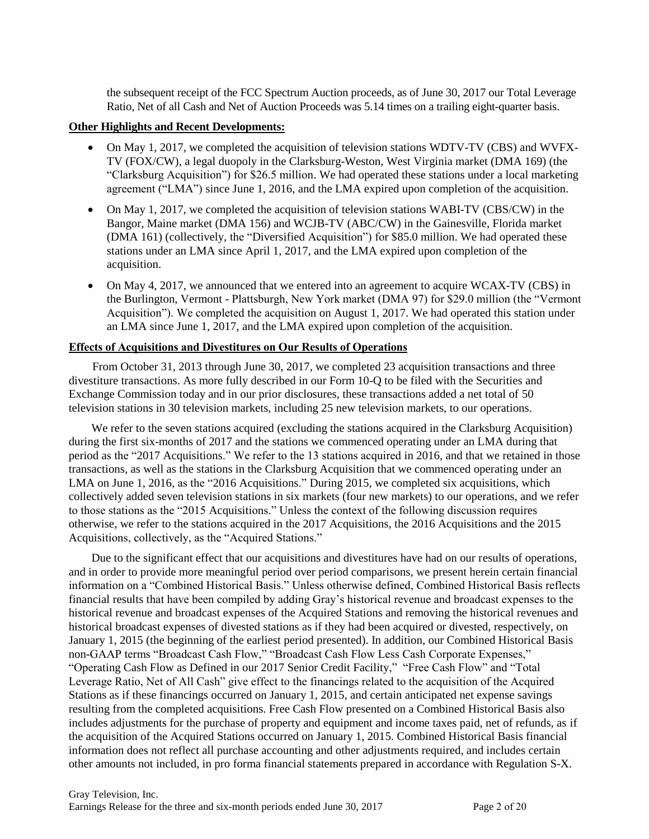the subsequent receipt of the FCC Spectrum Auction proceeds, as of June 30, 2017 our Total Leverage Ratio, Net of all Cash and Net of Auction Proceeds was 5.14 times on a trailing eight-quarter basis.

### **Other Highlights and Recent Developments:**

- On May 1, 2017, we completed the acquisition of television stations WDTV-TV (CBS) and WVFX-TV (FOX/CW), a legal duopoly in the Clarksburg-Weston, West Virginia market (DMA 169) (the "Clarksburg Acquisition") for \$26.5 million. We had operated these stations under a local marketing agreement ("LMA") since June 1, 2016, and the LMA expired upon completion of the acquisition.
- On May 1, 2017, we completed the acquisition of television stations WABI-TV (CBS/CW) in the Bangor, Maine market (DMA 156) and WCJB-TV (ABC/CW) in the Gainesville, Florida market (DMA 161) (collectively, the "Diversified Acquisition") for \$85.0 million. We had operated these stations under an LMA since April 1, 2017, and the LMA expired upon completion of the acquisition.
- On May 4, 2017, we announced that we entered into an agreement to acquire WCAX-TV (CBS) in the Burlington, Vermont - Plattsburgh, New York market (DMA 97) for \$29.0 million (the "Vermont Acquisition"). We completed the acquisition on August 1, 2017. We had operated this station under an LMA since June 1, 2017, and the LMA expired upon completion of the acquisition.

## **Effects of Acquisitions and Divestitures on Our Results of Operations**

From October 31, 2013 through June 30, 2017, we completed 23 acquisition transactions and three divestiture transactions. As more fully described in our Form 10-Q to be filed with the Securities and Exchange Commission today and in our prior disclosures, these transactions added a net total of 50 television stations in 30 television markets, including 25 new television markets, to our operations.

We refer to the seven stations acquired (excluding the stations acquired in the Clarksburg Acquisition) during the first six-months of 2017 and the stations we commenced operating under an LMA during that period as the "2017 Acquisitions." We refer to the 13 stations acquired in 2016, and that we retained in those transactions, as well as the stations in the Clarksburg Acquisition that we commenced operating under an LMA on June 1, 2016, as the "2016 Acquisitions." During 2015, we completed six acquisitions, which collectively added seven television stations in six markets (four new markets) to our operations, and we refer to those stations as the "2015 Acquisitions." Unless the context of the following discussion requires otherwise, we refer to the stations acquired in the 2017 Acquisitions, the 2016 Acquisitions and the 2015 Acquisitions, collectively, as the "Acquired Stations."

Due to the significant effect that our acquisitions and divestitures have had on our results of operations, and in order to provide more meaningful period over period comparisons, we present herein certain financial information on a "Combined Historical Basis." Unless otherwise defined, Combined Historical Basis reflects financial results that have been compiled by adding Gray's historical revenue and broadcast expenses to the historical revenue and broadcast expenses of the Acquired Stations and removing the historical revenues and historical broadcast expenses of divested stations as if they had been acquired or divested, respectively, on January 1, 2015 (the beginning of the earliest period presented). In addition, our Combined Historical Basis non-GAAP terms "Broadcast Cash Flow," "Broadcast Cash Flow Less Cash Corporate Expenses," "Operating Cash Flow as Defined in our 2017 Senior Credit Facility," "Free Cash Flow" and "Total Leverage Ratio, Net of All Cash" give effect to the financings related to the acquisition of the Acquired Stations as if these financings occurred on January 1, 2015, and certain anticipated net expense savings resulting from the completed acquisitions. Free Cash Flow presented on a Combined Historical Basis also includes adjustments for the purchase of property and equipment and income taxes paid, net of refunds, as if the acquisition of the Acquired Stations occurred on January 1, 2015. Combined Historical Basis financial information does not reflect all purchase accounting and other adjustments required, and includes certain other amounts not included, in pro forma financial statements prepared in accordance with Regulation S-X.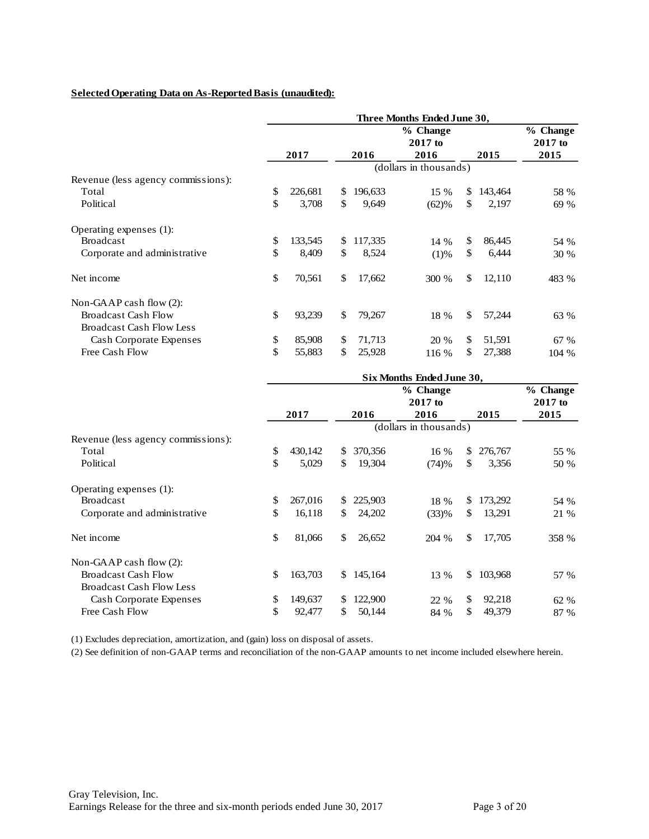### **Selected Operating Data on As-Reported Basis (unaudited):**

|                                    | Three Months Ended June 30, |         |    |         |        |                     |         |       |  |
|------------------------------------|-----------------------------|---------|----|---------|--------|---------------------|---------|-------|--|
|                                    |                             |         |    |         |        | % Change<br>2017 to |         |       |  |
|                                    |                             | 2017    |    | 2016    | 2016   |                     | 2015    | 2015  |  |
|                                    | (dollars in thousands)      |         |    |         |        |                     |         |       |  |
| Revenue (less agency commissions): |                             |         |    |         |        |                     |         |       |  |
| Total                              | \$                          | 226,681 | \$ | 196,633 | $15\%$ | \$                  | 143,464 | 58 %  |  |
| Political                          | \$                          | 3,708   | \$ | 9,649   | (62)%  | \$                  | 2,197   | 69 %  |  |
| Operating expenses (1):            |                             |         |    |         |        |                     |         |       |  |
| <b>Broadcast</b>                   | \$                          | 133,545 | \$ | 117,335 | 14 %   | \$                  | 86,445  | 54 %  |  |
| Corporate and administrative       | \$                          | 8,409   | \$ | 8,524   | (1)%   | \$                  | 6,444   | 30 %  |  |
| Net income                         | \$                          | 70,561  | \$ | 17,662  | 300 %  | \$                  | 12,110  | 483 % |  |
| Non-GAAP cash flow $(2)$ :         |                             |         |    |         |        |                     |         |       |  |
| <b>Broadcast Cash Flow</b>         | \$                          | 93,239  | \$ | 79,267  | 18 %   | \$                  | 57,244  | 63 %  |  |
| <b>Broadcast Cash Flow Less</b>    |                             |         |    |         |        |                     |         |       |  |
| <b>Cash Corporate Expenses</b>     | \$                          | 85,908  | \$ | 71,713  | 20 %   | \$                  | 51,591  | 67 %  |  |
| Free Cash Flow                     | \$                          | 55,883  | \$ | 25,928  | 116 %  | \$.                 | 27,388  | 104 % |  |

|                                    | Six Months Ended June 30, |         |                       |         |                        |     |         |                       |
|------------------------------------|---------------------------|---------|-----------------------|---------|------------------------|-----|---------|-----------------------|
|                                    |                           |         | % Change<br>$2017$ to |         |                        |     |         | % Change<br>$2017$ to |
|                                    |                           | 2017    |                       | 2016    | 2016                   |     | 2015    | 2015                  |
|                                    |                           |         |                       |         | (dollars in thousands) |     |         |                       |
| Revenue (less agency commissions): |                           |         |                       |         |                        |     |         |                       |
| Total                              | \$                        | 430,142 | \$                    | 370,356 | $16\%$                 | \$. | 276,767 | 55 %                  |
| Political                          | \$                        | 5,029   | \$                    | 19,304  | (74)%                  | \$  | 3,356   | 50 %                  |
| Operating expenses (1):            |                           |         |                       |         |                        |     |         |                       |
| <b>Broadcast</b>                   | \$                        | 267,016 | S                     | 225,903 | 18 %                   | \$. | 173,292 | 54 %                  |
| Corporate and administrative       | \$                        | 16,118  | \$                    | 24,202  | (33)%                  | \$  | 13,291  | 21 %                  |
| Net income                         | \$                        | 81,066  | \$                    | 26,652  | 204 %                  | \$  | 17,705  | 358 %                 |
| Non-GAAP cash flow $(2)$ :         |                           |         |                       |         |                        |     |         |                       |
| <b>Broadcast Cash Flow</b>         | \$                        | 163,703 | \$                    | 145,164 | 13 %                   | \$  | 103,968 | 57 %                  |
| <b>Broadcast Cash Flow Less</b>    |                           |         |                       |         |                        |     |         |                       |
| Cash Corporate Expenses            | \$                        | 149,637 | S                     | 122,900 | 22 %                   | \$  | 92,218  | 62 %                  |
| Free Cash Flow                     | \$                        | 92,477  | \$                    | 50,144  | 84 %                   | \$  | 49,379  | 87 %                  |

(1) Excludes depreciation, amortization, and (gain) loss on disposal of assets.

(2) See definition of non-GAAP terms and reconciliation of the non-GAAP amounts to net income included elsewhere herein.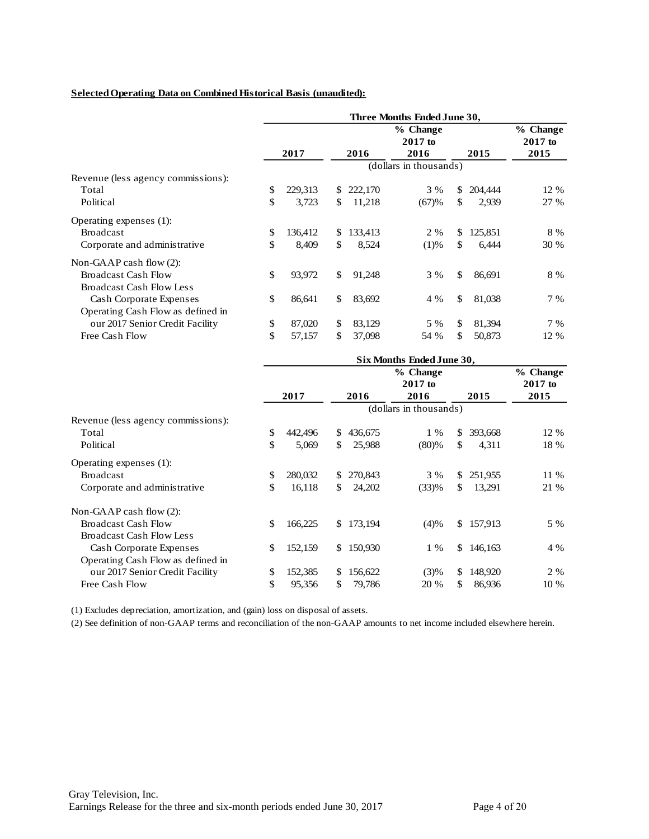#### **Selected Operating Data on Combined Historical Basis (unaudited):**

|                                    | Three Months Ended June 30, |         |     |         |                        |     |         |           |
|------------------------------------|-----------------------------|---------|-----|---------|------------------------|-----|---------|-----------|
|                                    |                             |         |     |         | % Change               |     |         | % Change  |
|                                    |                             |         |     |         | $2017$ to              |     |         | $2017$ to |
|                                    |                             | 2017    |     | 2016    | 2016                   |     | 2015    | 2015      |
|                                    |                             |         |     |         | (dollars in thousands) |     |         |           |
| Revenue (less agency commissions): |                             |         |     |         |                        |     |         |           |
| Total                              | \$                          | 229.313 | S.  | 222,170 | 3 %                    | \$. | 204,444 | 12 %      |
| Political                          | \$                          | 3,723   | \$  | 11,218  | (67)%                  | \$. | 2,939   | 27 %      |
| Operating expenses (1):            |                             |         |     |         |                        |     |         |           |
| <b>Broadcast</b>                   | \$                          | 136,412 | S.  | 133,413 | 2 %                    | \$. | 125,851 | 8 %       |
| Corporate and administrative       | \$                          | 8.409   | \$. | 8,524   | (1)%                   | \$. | 6.444   | 30 %      |
| Non-GAAP cash flow $(2)$ :         |                             |         |     |         |                        |     |         |           |
| <b>Broadcast Cash Flow</b>         | $\mathbb{S}$                | 93,972  | \$  | 91,248  | 3 %                    | \$  | 86,691  | 8 %       |
| <b>Broadcast Cash Flow Less</b>    |                             |         |     |         |                        |     |         |           |
| Cash Corporate Expenses            | \$                          | 86,641  | \$  | 83,692  | 4 %                    | \$  | 81,038  | 7 %       |
| Operating Cash Flow as defined in  |                             |         |     |         |                        |     |         |           |
| our 2017 Senior Credit Facility    | \$                          | 87,020  | \$  | 83,129  | 5 %                    | \$. | 81,394  | 7 %       |
| Free Cash Flow                     | \$                          | 57,157  | \$  | 37,098  | 54 %                   | S.  | 50,873  | 12 %      |

|                                    | Six Months Ended June 30, |         |                       |         |                        |     |         |                       |
|------------------------------------|---------------------------|---------|-----------------------|---------|------------------------|-----|---------|-----------------------|
|                                    |                           |         | % Change<br>$2017$ to |         |                        |     |         | % Change<br>$2017$ to |
|                                    |                           | 2017    |                       | 2016    | 2016                   |     | 2015    | 2015                  |
|                                    |                           |         |                       |         | (dollars in thousands) |     |         |                       |
| Revenue (less agency commissions): |                           |         |                       |         |                        |     |         |                       |
| Total                              | \$                        | 442,496 | S.                    | 436,675 | 1 %                    | \$  | 393,668 | 12 %                  |
| Political                          | \$                        | 5,069   | \$                    | 25,988  | (80)%                  | \$. | 4,311   | 18 %                  |
| Operating expenses (1):            |                           |         |                       |         |                        |     |         |                       |
| <b>Broadcast</b>                   | \$                        | 280,032 | S.                    | 270,843 | 3 %                    | \$. | 251,955 | 11 %                  |
| Corporate and administrative       | \$                        | 16,118  | S.                    | 24,202  | (33)%                  | S   | 13,291  | 21 %                  |
| Non-GAAP cash flow $(2)$ :         |                           |         |                       |         |                        |     |         |                       |
| <b>Broadcast Cash Flow</b>         | \$                        | 166,225 | S.                    | 173,194 | (4)%                   | \$. | 157,913 | 5 %                   |
| <b>Broadcast Cash Flow Less</b>    |                           |         |                       |         |                        |     |         |                       |
| Cash Corporate Expenses            | \$                        | 152,159 | S.                    | 150,930 | 1 %                    | \$. | 146,163 | 4 %                   |
| Operating Cash Flow as defined in  |                           |         |                       |         |                        |     |         |                       |
| our 2017 Senior Credit Facility    | \$                        | 152,385 | S.                    | 156,622 | (3)%                   | \$. | 148.920 | 2 %                   |
| Free Cash Flow                     | \$                        | 95,356  | S.                    | 79,786  | 20 %                   | S   | 86,936  | 10 %                  |
|                                    |                           |         |                       |         |                        |     |         |                       |

(1) Excludes depreciation, amortization, and (gain) loss on disposal of assets.

(2) See definition of non-GAAP terms and reconciliation of the non-GAAP amounts to net income included elsewhere herein.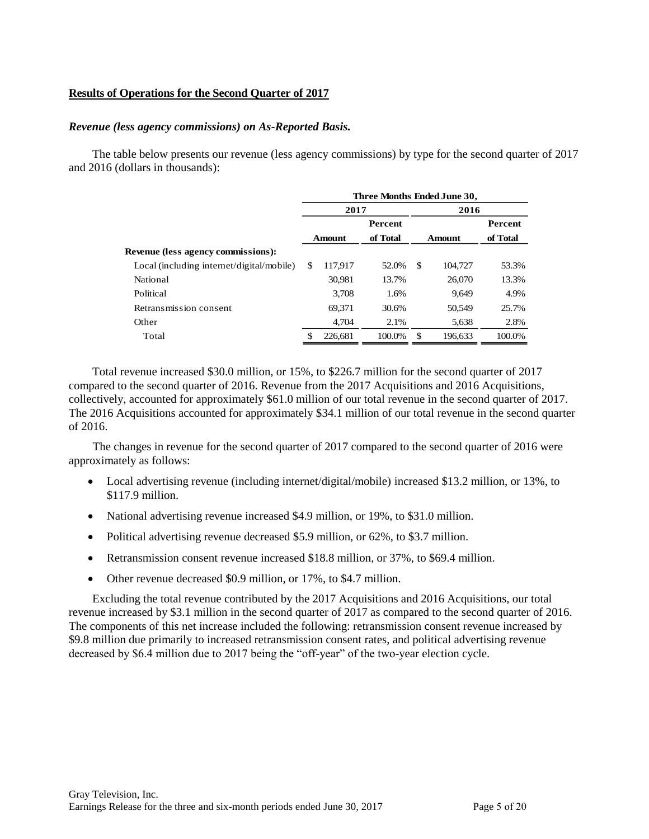## **Results of Operations for the Second Quarter of 2017**

### *Revenue (less agency commissions) on As-Reported Basis.*

The table below presents our revenue (less agency commissions) by type for the second quarter of 2017 and 2016 (dollars in thousands):

|                                           | Three Months Ended June 30, |               |          |     |         |          |  |  |  |  |
|-------------------------------------------|-----------------------------|---------------|----------|-----|---------|----------|--|--|--|--|
|                                           |                             | 2017          |          |     | 2016    |          |  |  |  |  |
|                                           |                             |               | Percent  |     |         | Percent  |  |  |  |  |
|                                           |                             | <b>Amount</b> | of Total |     | Amount  | of Total |  |  |  |  |
| <b>Revenue (less agency commissions):</b> |                             |               |          |     |         |          |  |  |  |  |
| Local (including internet/digital/mobile) | \$                          | 117.917       | 52.0%    | \$. | 104,727 | 53.3%    |  |  |  |  |
| National                                  |                             | 30.981        | 13.7%    |     | 26,070  | 13.3%    |  |  |  |  |
| Political                                 |                             | 3,708         | 1.6%     |     | 9.649   | 4.9%     |  |  |  |  |
| Retransmission consent                    |                             | 69.371        | 30.6%    |     | 50,549  | 25.7%    |  |  |  |  |
| Other                                     |                             | 4.704         | 2.1%     |     | 5.638   | 2.8%     |  |  |  |  |
| Total                                     | £.                          | 226,681       | 100.0%   | £.  | 196.633 | 100.0%   |  |  |  |  |
|                                           |                             |               |          |     |         |          |  |  |  |  |

Total revenue increased \$30.0 million, or 15%, to \$226.7 million for the second quarter of 2017 compared to the second quarter of 2016. Revenue from the 2017 Acquisitions and 2016 Acquisitions, collectively, accounted for approximately \$61.0 million of our total revenue in the second quarter of 2017. The 2016 Acquisitions accounted for approximately \$34.1 million of our total revenue in the second quarter of 2016.

The changes in revenue for the second quarter of 2017 compared to the second quarter of 2016 were approximately as follows:

- Local advertising revenue (including internet/digital/mobile) increased \$13.2 million, or 13%, to \$117.9 million.
- National advertising revenue increased \$4.9 million, or 19%, to \$31.0 million.
- Political advertising revenue decreased \$5.9 million, or 62%, to \$3.7 million.
- Retransmission consent revenue increased \$18.8 million, or 37%, to \$69.4 million.
- Other revenue decreased \$0.9 million, or 17%, to \$4.7 million.

Excluding the total revenue contributed by the 2017 Acquisitions and 2016 Acquisitions, our total revenue increased by \$3.1 million in the second quarter of 2017 as compared to the second quarter of 2016. The components of this net increase included the following: retransmission consent revenue increased by \$9.8 million due primarily to increased retransmission consent rates, and political advertising revenue decreased by \$6.4 million due to 2017 being the "off-year" of the two-year election cycle.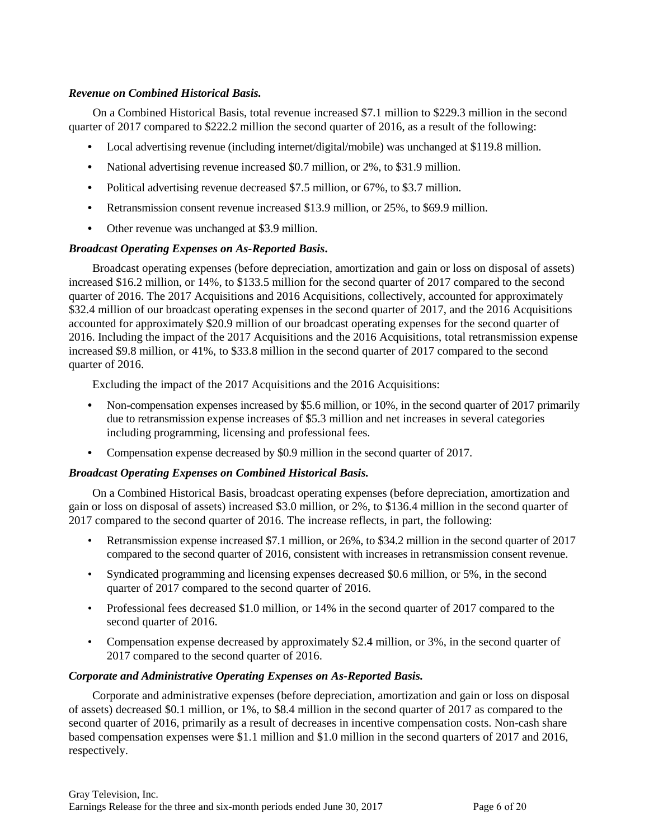# *Revenue on Combined Historical Basis.*

On a Combined Historical Basis, total revenue increased \$7.1 million to \$229.3 million in the second quarter of 2017 compared to \$222.2 million the second quarter of 2016, as a result of the following:

- **•** Local advertising revenue (including internet/digital/mobile) was unchanged at \$119.8 million.
- **•** National advertising revenue increased \$0.7 million, or 2%, to \$31.9 million.
- **•** Political advertising revenue decreased \$7.5 million, or 67%, to \$3.7 million.
- **•** Retransmission consent revenue increased \$13.9 million, or 25%, to \$69.9 million.
- **•** Other revenue was unchanged at \$3.9 million.

## *Broadcast Operating Expenses on As-Reported Basis***.**

Broadcast operating expenses (before depreciation, amortization and gain or loss on disposal of assets) increased \$16.2 million, or 14%, to \$133.5 million for the second quarter of 2017 compared to the second quarter of 2016. The 2017 Acquisitions and 2016 Acquisitions, collectively, accounted for approximately \$32.4 million of our broadcast operating expenses in the second quarter of 2017, and the 2016 Acquisitions accounted for approximately \$20.9 million of our broadcast operating expenses for the second quarter of 2016. Including the impact of the 2017 Acquisitions and the 2016 Acquisitions, total retransmission expense increased \$9.8 million, or 41%, to \$33.8 million in the second quarter of 2017 compared to the second quarter of 2016.

Excluding the impact of the 2017 Acquisitions and the 2016 Acquisitions:

- **•** Non-compensation expenses increased by \$5.6 million, or 10%, in the second quarter of 2017 primarily due to retransmission expense increases of \$5.3 million and net increases in several categories including programming, licensing and professional fees.
- **•** Compensation expense decreased by \$0.9 million in the second quarter of 2017.

# *Broadcast Operating Expenses on Combined Historical Basis.*

On a Combined Historical Basis, broadcast operating expenses (before depreciation, amortization and gain or loss on disposal of assets) increased \$3.0 million, or 2%, to \$136.4 million in the second quarter of 2017 compared to the second quarter of 2016. The increase reflects, in part, the following:

- Retransmission expense increased \$7.1 million, or 26%, to \$34.2 million in the second quarter of 2017 compared to the second quarter of 2016, consistent with increases in retransmission consent revenue.
- Syndicated programming and licensing expenses decreased \$0.6 million, or 5%, in the second quarter of 2017 compared to the second quarter of 2016.
- Professional fees decreased \$1.0 million, or 14% in the second quarter of 2017 compared to the second quarter of 2016.
- Compensation expense decreased by approximately \$2.4 million, or 3%, in the second quarter of 2017 compared to the second quarter of 2016.

# *Corporate and Administrative Operating Expenses on As-Reported Basis.*

Corporate and administrative expenses (before depreciation, amortization and gain or loss on disposal of assets) decreased \$0.1 million, or 1%, to \$8.4 million in the second quarter of 2017 as compared to the second quarter of 2016, primarily as a result of decreases in incentive compensation costs. Non-cash share based compensation expenses were \$1.1 million and \$1.0 million in the second quarters of 2017 and 2016, respectively.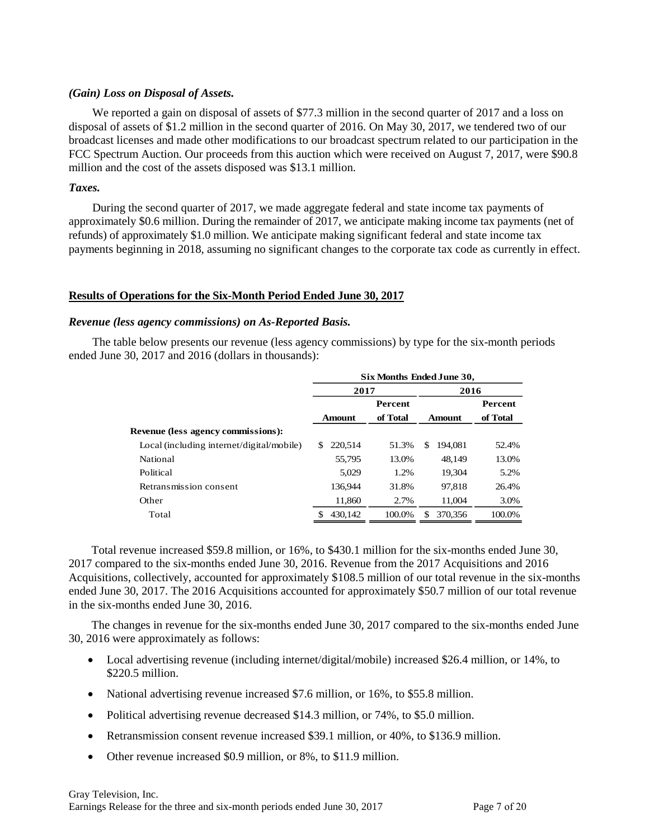### *(Gain) Loss on Disposal of Assets.*

We reported a gain on disposal of assets of \$77.3 million in the second quarter of 2017 and a loss on disposal of assets of \$1.2 million in the second quarter of 2016. On May 30, 2017, we tendered two of our broadcast licenses and made other modifications to our broadcast spectrum related to our participation in the FCC Spectrum Auction. Our proceeds from this auction which were received on August 7, 2017, were \$90.8 million and the cost of the assets disposed was \$13.1 million.

### *Taxes.*

During the second quarter of 2017, we made aggregate federal and state income tax payments of approximately \$0.6 million. During the remainder of 2017, we anticipate making income tax payments (net of refunds) of approximately \$1.0 million. We anticipate making significant federal and state income tax payments beginning in 2018, assuming no significant changes to the corporate tax code as currently in effect.

### **Results of Operations for the Six-Month Period Ended June 30, 2017**

### *Revenue (less agency commissions) on As-Reported Basis.*

The table below presents our revenue (less agency commissions) by type for the six-month periods ended June 30, 2017 and 2016 (dollars in thousands):

| Six Months Ended June 30, |                |                |                |  |  |  |  |
|---------------------------|----------------|----------------|----------------|--|--|--|--|
|                           |                | 2016           |                |  |  |  |  |
|                           | <b>Percent</b> |                | <b>Percent</b> |  |  |  |  |
| Amount                    | of Total       | Amount         | of Total       |  |  |  |  |
|                           |                |                |                |  |  |  |  |
| 220.514<br>\$             | 51.3%          | 194.081<br>\$  | 52.4%          |  |  |  |  |
| 55,795                    | 13.0%          | 48.149         | 13.0%          |  |  |  |  |
| 5.029                     | 1.2%           | 19.304         | 5.2%           |  |  |  |  |
| 136.944                   | 31.8%          | 97.818         | 26.4%          |  |  |  |  |
| 11,860                    | 2.7%           | 11.004         | 3.0%           |  |  |  |  |
| 430.142<br>S              | 100.0%         | 370,356<br>\$. | 100.0%         |  |  |  |  |
|                           |                | 2017           |                |  |  |  |  |

Total revenue increased \$59.8 million, or 16%, to \$430.1 million for the six-months ended June 30, 2017 compared to the six-months ended June 30, 2016. Revenue from the 2017 Acquisitions and 2016 Acquisitions, collectively, accounted for approximately \$108.5 million of our total revenue in the six-months ended June 30, 2017. The 2016 Acquisitions accounted for approximately \$50.7 million of our total revenue in the six-months ended June 30, 2016.

The changes in revenue for the six-months ended June 30, 2017 compared to the six-months ended June 30, 2016 were approximately as follows:

- Local advertising revenue (including internet/digital/mobile) increased \$26.4 million, or 14%, to \$220.5 million.
- National advertising revenue increased \$7.6 million, or 16%, to \$55.8 million.
- Political advertising revenue decreased \$14.3 million, or 74%, to \$5.0 million.
- Retransmission consent revenue increased \$39.1 million, or 40%, to \$136.9 million.
- Other revenue increased \$0.9 million, or 8%, to \$11.9 million.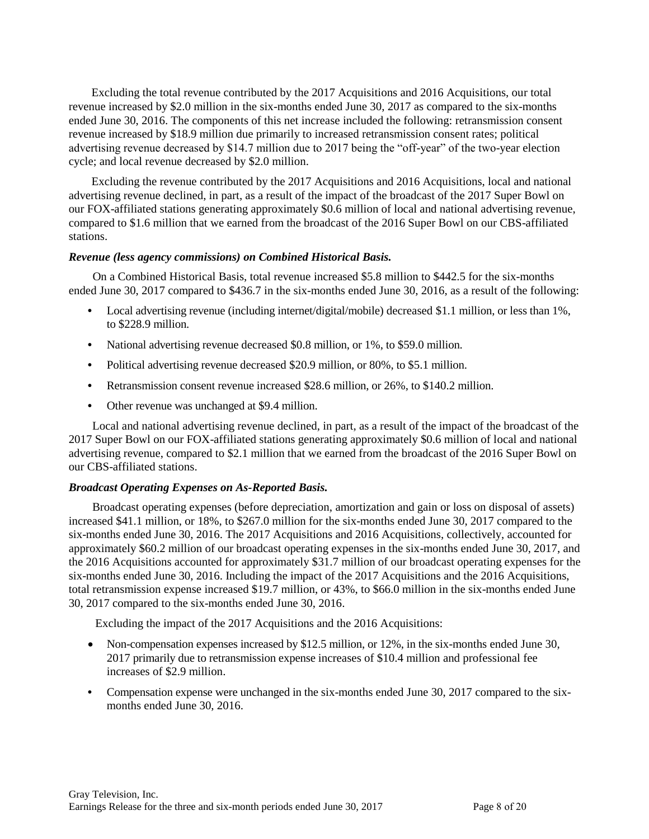Excluding the total revenue contributed by the 2017 Acquisitions and 2016 Acquisitions, our total revenue increased by \$2.0 million in the six-months ended June 30, 2017 as compared to the six-months ended June 30, 2016. The components of this net increase included the following: retransmission consent revenue increased by \$18.9 million due primarily to increased retransmission consent rates; political advertising revenue decreased by \$14.7 million due to 2017 being the "off-year" of the two-year election cycle; and local revenue decreased by \$2.0 million.

Excluding the revenue contributed by the 2017 Acquisitions and 2016 Acquisitions, local and national advertising revenue declined, in part, as a result of the impact of the broadcast of the 2017 Super Bowl on our FOX-affiliated stations generating approximately \$0.6 million of local and national advertising revenue, compared to \$1.6 million that we earned from the broadcast of the 2016 Super Bowl on our CBS-affiliated stations.

## *Revenue (less agency commissions) on Combined Historical Basis.*

On a Combined Historical Basis, total revenue increased \$5.8 million to \$442.5 for the six-months ended June 30, 2017 compared to \$436.7 in the six-months ended June 30, 2016, as a result of the following:

- Local advertising revenue (including internet/digital/mobile) decreased \$1.1 million, or less than 1%, to \$228.9 million.
- **•** National advertising revenue decreased \$0.8 million, or 1%, to \$59.0 million.
- **•** Political advertising revenue decreased \$20.9 million, or 80%, to \$5.1 million.
- **•** Retransmission consent revenue increased \$28.6 million, or 26%, to \$140.2 million.
- **•** Other revenue was unchanged at \$9.4 million.

Local and national advertising revenue declined, in part, as a result of the impact of the broadcast of the 2017 Super Bowl on our FOX-affiliated stations generating approximately \$0.6 million of local and national advertising revenue, compared to \$2.1 million that we earned from the broadcast of the 2016 Super Bowl on our CBS-affiliated stations.

## *Broadcast Operating Expenses on As-Reported Basis.*

Broadcast operating expenses (before depreciation, amortization and gain or loss on disposal of assets) increased \$41.1 million, or 18%, to \$267.0 million for the six-months ended June 30, 2017 compared to the six-months ended June 30, 2016. The 2017 Acquisitions and 2016 Acquisitions, collectively, accounted for approximately \$60.2 million of our broadcast operating expenses in the six-months ended June 30, 2017, and the 2016 Acquisitions accounted for approximately \$31.7 million of our broadcast operating expenses for the six-months ended June 30, 2016. Including the impact of the 2017 Acquisitions and the 2016 Acquisitions, total retransmission expense increased \$19.7 million, or 43%, to \$66.0 million in the six-months ended June 30, 2017 compared to the six-months ended June 30, 2016.

Excluding the impact of the 2017 Acquisitions and the 2016 Acquisitions:

- Non-compensation expenses increased by \$12.5 million, or 12%, in the six-months ended June 30, 2017 primarily due to retransmission expense increases of \$10.4 million and professional fee increases of \$2.9 million.
- **•** Compensation expense were unchanged in the six-months ended June 30, 2017 compared to the sixmonths ended June 30, 2016.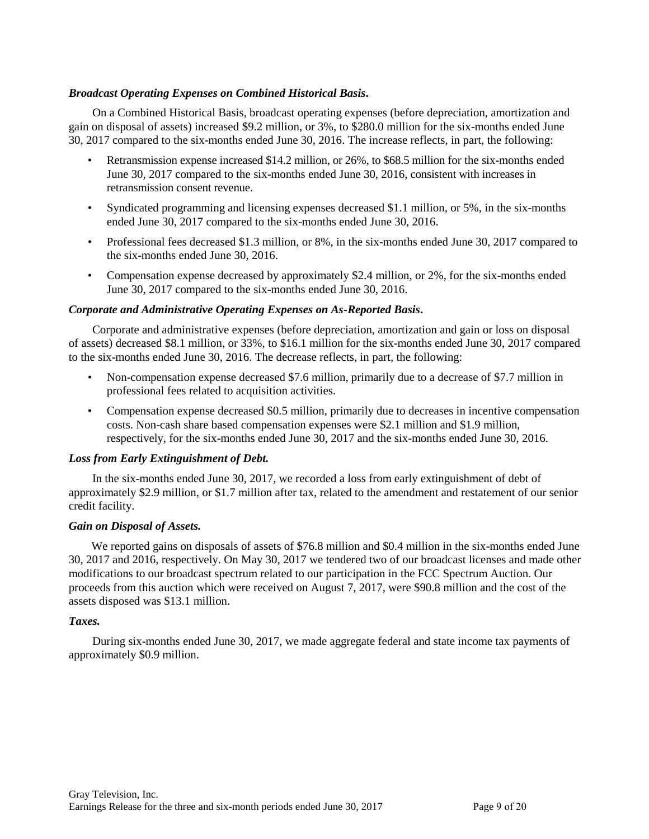## *Broadcast Operating Expenses on Combined Historical Basis***.**

On a Combined Historical Basis, broadcast operating expenses (before depreciation, amortization and gain on disposal of assets) increased \$9.2 million, or 3%, to \$280.0 million for the six-months ended June 30, 2017 compared to the six-months ended June 30, 2016. The increase reflects, in part, the following:

- Retransmission expense increased \$14.2 million, or 26%, to \$68.5 million for the six-months ended June 30, 2017 compared to the six-months ended June 30, 2016, consistent with increases in retransmission consent revenue.
- Syndicated programming and licensing expenses decreased \$1.1 million, or 5%, in the six-months ended June 30, 2017 compared to the six-months ended June 30, 2016.
- Professional fees decreased \$1.3 million, or 8%, in the six-months ended June 30, 2017 compared to the six-months ended June 30, 2016.
- Compensation expense decreased by approximately \$2.4 million, or 2%, for the six-months ended June 30, 2017 compared to the six-months ended June 30, 2016.

## *Corporate and Administrative Operating Expenses on As-Reported Basis***.**

Corporate and administrative expenses (before depreciation, amortization and gain or loss on disposal of assets) decreased \$8.1 million, or 33%, to \$16.1 million for the six-months ended June 30, 2017 compared to the six-months ended June 30, 2016. The decrease reflects, in part, the following:

- Non-compensation expense decreased \$7.6 million, primarily due to a decrease of \$7.7 million in professional fees related to acquisition activities.
- Compensation expense decreased \$0.5 million, primarily due to decreases in incentive compensation costs. Non-cash share based compensation expenses were \$2.1 million and \$1.9 million, respectively, for the six-months ended June 30, 2017 and the six-months ended June 30, 2016.

## *Loss from Early Extinguishment of Debt.*

In the six-months ended June 30, 2017, we recorded a loss from early extinguishment of debt of approximately \$2.9 million, or \$1.7 million after tax, related to the amendment and restatement of our senior credit facility.

## *Gain on Disposal of Assets.*

We reported gains on disposals of assets of \$76.8 million and \$0.4 million in the six-months ended June 30, 2017 and 2016, respectively. On May 30, 2017 we tendered two of our broadcast licenses and made other modifications to our broadcast spectrum related to our participation in the FCC Spectrum Auction. Our proceeds from this auction which were received on August 7, 2017, were \$90.8 million and the cost of the assets disposed was \$13.1 million.

## *Taxes.*

During six-months ended June 30, 2017, we made aggregate federal and state income tax payments of approximately \$0.9 million.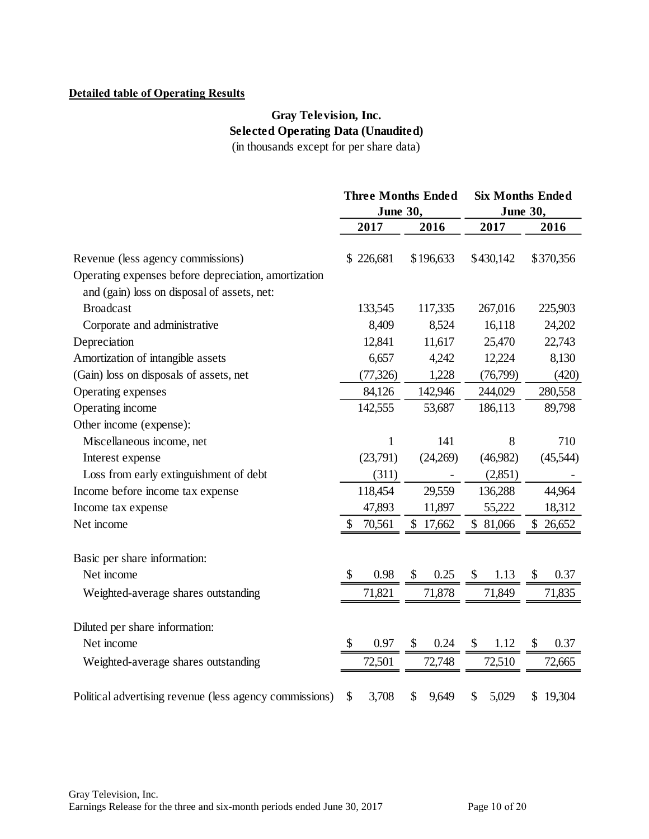# **Detailed table of Operating Results**

# **Gray Television, Inc. Selected Operating Data (Unaudited)** (in thousands except for per share data)

|                                                                 | <b>Three Months Ended</b> |                                   | <b>Six Months Ended</b>           |              |  |  |
|-----------------------------------------------------------------|---------------------------|-----------------------------------|-----------------------------------|--------------|--|--|
|                                                                 | <b>June 30,</b>           |                                   | June 30,                          |              |  |  |
|                                                                 | 2017                      | 2016                              | 2017                              | 2016         |  |  |
| Revenue (less agency commissions)                               | \$226,681                 | \$196,633                         | \$430,142                         | \$370,356    |  |  |
| Operating expenses before depreciation, amortization            |                           |                                   |                                   |              |  |  |
|                                                                 |                           |                                   |                                   |              |  |  |
| and (gain) loss on disposal of assets, net:<br><b>Broadcast</b> | 133,545                   | 117,335                           | 267,016                           |              |  |  |
|                                                                 |                           |                                   |                                   | 225,903      |  |  |
| Corporate and administrative                                    | 8,409                     | 8,524                             | 16,118                            | 24,202       |  |  |
| Depreciation                                                    | 12,841                    | 11,617                            | 25,470                            | 22,743       |  |  |
| Amortization of intangible assets                               | 6,657                     | 4,242                             | 12,224                            | 8,130        |  |  |
| (Gain) loss on disposals of assets, net                         | (77, 326)                 | 1,228                             | (76,799)                          | (420)        |  |  |
| Operating expenses                                              | 84,126                    | 142,946                           | 244,029                           | 280,558      |  |  |
| Operating income                                                | 142,555                   | 53,687                            | 186,113                           | 89,798       |  |  |
| Other income (expense):                                         |                           |                                   |                                   |              |  |  |
| Miscellaneous income, net                                       | 1                         | 141                               | 8                                 | 710          |  |  |
| Interest expense                                                | (23,791)                  | (24,269)                          | (46,982)                          | (45,544)     |  |  |
| Loss from early extinguishment of debt                          | (311)                     |                                   | (2,851)                           |              |  |  |
| Income before income tax expense                                | 118,454                   | 29,559                            | 136,288                           | 44,964       |  |  |
| Income tax expense                                              | 47,893                    | 11,897                            | 55,222                            | 18,312       |  |  |
| Net income                                                      | 70,561<br>\$              | 17,662<br>\$                      | \$81,066                          | \$26,652     |  |  |
| Basic per share information:                                    |                           |                                   |                                   |              |  |  |
| Net income                                                      | \$<br>0.98                | \$<br>0.25                        | $\boldsymbol{\mathsf{S}}$<br>1.13 | \$<br>0.37   |  |  |
| Weighted-average shares outstanding                             | 71,821                    | 71,878                            | 71,849                            | 71,835       |  |  |
| Diluted per share information:                                  |                           |                                   |                                   |              |  |  |
| Net income                                                      | 0.97<br>\$                | 0.24<br>$\boldsymbol{\mathsf{S}}$ | 1.12<br>\$                        | 0.37<br>\$   |  |  |
| Weighted-average shares outstanding                             | 72,501                    | 72,748                            | 72,510                            | 72,665       |  |  |
| Political advertising revenue (less agency commissions)         | \$<br>3,708               | \$<br>9,649                       | \$<br>5,029                       | 19,304<br>\$ |  |  |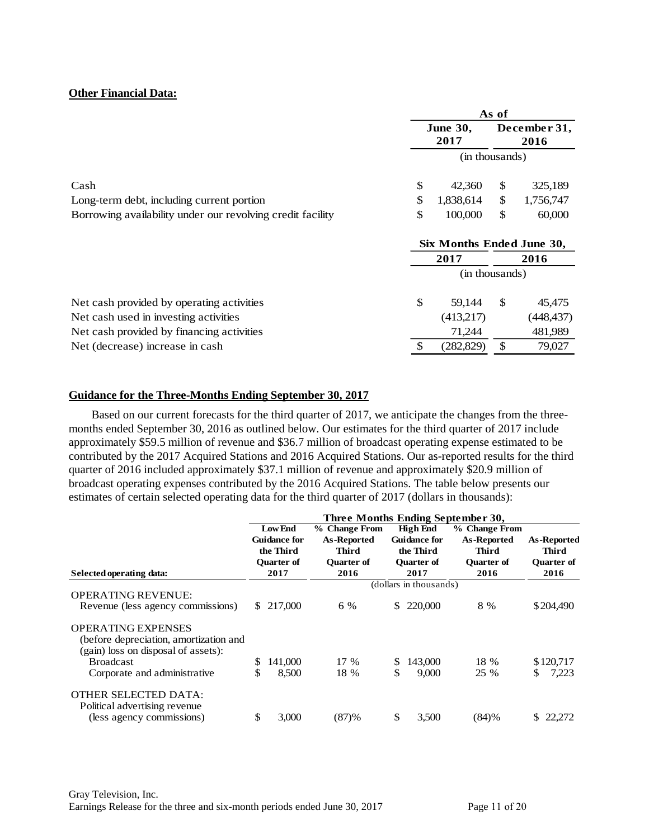## **Other Financial Data:**

|                                                            |                           | As of          |                      |           |  |  |  |
|------------------------------------------------------------|---------------------------|----------------|----------------------|-----------|--|--|--|
|                                                            | <b>June 30,</b><br>2017   |                | December 31,<br>2016 |           |  |  |  |
|                                                            | (in thousands)            |                |                      |           |  |  |  |
| Cash                                                       | \$                        | 42,360         | \$                   | 325,189   |  |  |  |
| Long-term debt, including current portion                  | \$                        | 1,838,614      | \$                   | 1,756,747 |  |  |  |
| Borrowing availability under our revolving credit facility | \$                        | 100,000        | \$                   | 60,000    |  |  |  |
|                                                            | Six Months Ended June 30, |                |                      |           |  |  |  |
|                                                            |                           | 2017           | 2016                 |           |  |  |  |
|                                                            |                           | (in thousands) |                      |           |  |  |  |
| Net cash provided by operating activities                  | \$                        | 59,144         | \$                   | 45,475    |  |  |  |
| Net cash used in investing activities                      |                           | (413,217)      |                      | (448,437) |  |  |  |
| Net cash provided by financing activities                  |                           | 71,244         |                      | 481,989   |  |  |  |
| Net (decrease) increase in cash                            | \$                        | (282, 829)     | \$                   | 79,027    |  |  |  |

### **Guidance for the Three-Months Ending September 30, 2017**

Based on our current forecasts for the third quarter of 2017, we anticipate the changes from the threemonths ended September 30, 2016 as outlined below. Our estimates for the third quarter of 2017 include approximately \$59.5 million of revenue and \$36.7 million of broadcast operating expense estimated to be contributed by the 2017 Acquired Stations and 2016 Acquired Stations. Our as-reported results for the third quarter of 2016 included approximately \$37.1 million of revenue and approximately \$20.9 million of estimates of certain selected operating data for the third quarter of 2017 (dollars in thousands):

| broadcast operating expenses contributed by the 2016 Acquired Stations. The table below presents our<br>estimates of certain selected operating data for the third quarter of 2017 (dollars in thousands): |    |                                                                                 |                                                                           |    |                                                                                  |                                                                           |                                                                 |  |  |  |  |
|------------------------------------------------------------------------------------------------------------------------------------------------------------------------------------------------------------|----|---------------------------------------------------------------------------------|---------------------------------------------------------------------------|----|----------------------------------------------------------------------------------|---------------------------------------------------------------------------|-----------------------------------------------------------------|--|--|--|--|
|                                                                                                                                                                                                            |    | Three Months Ending September 30,                                               |                                                                           |    |                                                                                  |                                                                           |                                                                 |  |  |  |  |
| Selected operating data:                                                                                                                                                                                   |    | <b>Low End</b><br><b>Guidance for</b><br>the Third<br><b>Ouarter of</b><br>2017 | % Change From<br>As-Reported<br><b>Third</b><br><b>Ouarter of</b><br>2016 |    | <b>High End</b><br><b>Guidance for</b><br>the Third<br><b>Ouarter of</b><br>2017 | % Change From<br>As-Reported<br><b>Third</b><br><b>Ouarter of</b><br>2016 | <b>As-Reported</b><br><b>Third</b><br><b>Ouarter of</b><br>2016 |  |  |  |  |
| <b>OPERATING REVENUE:</b>                                                                                                                                                                                  |    |                                                                                 |                                                                           |    | (dollars in thousands)                                                           |                                                                           |                                                                 |  |  |  |  |
| Revenue (less agency commissions)                                                                                                                                                                          | S. | 217,000                                                                         | 6 %                                                                       | S. | 220,000                                                                          | 8 %                                                                       | \$204,490                                                       |  |  |  |  |
| <b>OPERATING EXPENSES</b><br>(before depreciation, amortization and<br>(gain) loss on disposal of assets):<br><b>Broadcast</b>                                                                             | S  | 141,000                                                                         | 17 %                                                                      | S. | 143,000                                                                          | 18 %                                                                      | \$120,717                                                       |  |  |  |  |
| Corporate and administrative                                                                                                                                                                               | \$ | 8,500                                                                           | 18 %                                                                      | \$ | 9,000                                                                            | 25 %                                                                      | 7,223<br>S                                                      |  |  |  |  |
| <b>OTHER SELECTED DATA:</b><br>Political advertising revenue<br>(less agency commissions)                                                                                                                  | \$ | 3,000                                                                           | (87)%                                                                     | \$ | 3,500                                                                            | (84)%                                                                     | 22,272<br>S                                                     |  |  |  |  |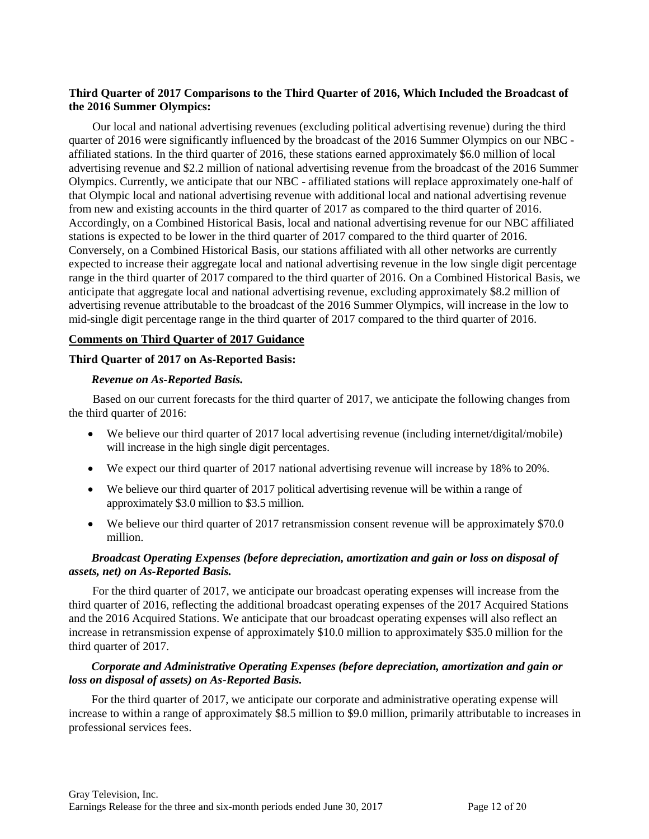# **Third Quarter of 2017 Comparisons to the Third Quarter of 2016, Which Included the Broadcast of the 2016 Summer Olympics:**

Our local and national advertising revenues (excluding political advertising revenue) during the third quarter of 2016 were significantly influenced by the broadcast of the 2016 Summer Olympics on our NBC affiliated stations. In the third quarter of 2016, these stations earned approximately \$6.0 million of local advertising revenue and \$2.2 million of national advertising revenue from the broadcast of the 2016 Summer Olympics. Currently, we anticipate that our NBC - affiliated stations will replace approximately one-half of that Olympic local and national advertising revenue with additional local and national advertising revenue from new and existing accounts in the third quarter of 2017 as compared to the third quarter of 2016. Accordingly, on a Combined Historical Basis, local and national advertising revenue for our NBC affiliated stations is expected to be lower in the third quarter of 2017 compared to the third quarter of 2016. Conversely, on a Combined Historical Basis, our stations affiliated with all other networks are currently expected to increase their aggregate local and national advertising revenue in the low single digit percentage range in the third quarter of 2017 compared to the third quarter of 2016. On a Combined Historical Basis, we anticipate that aggregate local and national advertising revenue, excluding approximately \$8.2 million of advertising revenue attributable to the broadcast of the 2016 Summer Olympics, will increase in the low to mid-single digit percentage range in the third quarter of 2017 compared to the third quarter of 2016.

### **Comments on Third Quarter of 2017 Guidance**

## **Third Quarter of 2017 on As-Reported Basis:**

### *Revenue on As-Reported Basis.*

Based on our current forecasts for the third quarter of 2017, we anticipate the following changes from the third quarter of 2016:

- We believe our third quarter of 2017 local advertising revenue (including internet/digital/mobile) will increase in the high single digit percentages.
- We expect our third quarter of 2017 national advertising revenue will increase by 18% to 20%.
- We believe our third quarter of 2017 political advertising revenue will be within a range of approximately \$3.0 million to \$3.5 million.
- We believe our third quarter of 2017 retransmission consent revenue will be approximately \$70.0 million.

# *Broadcast Operating Expenses (before depreciation, amortization and gain or loss on disposal of assets, net) on As-Reported Basis.*

For the third quarter of 2017, we anticipate our broadcast operating expenses will increase from the third quarter of 2016, reflecting the additional broadcast operating expenses of the 2017 Acquired Stations and the 2016 Acquired Stations. We anticipate that our broadcast operating expenses will also reflect an increase in retransmission expense of approximately \$10.0 million to approximately \$35.0 million for the third quarter of 2017.

## *Corporate and Administrative Operating Expenses (before depreciation, amortization and gain or loss on disposal of assets) on As-Reported Basis.*

For the third quarter of 2017, we anticipate our corporate and administrative operating expense will increase to within a range of approximately \$8.5 million to \$9.0 million, primarily attributable to increases in professional services fees.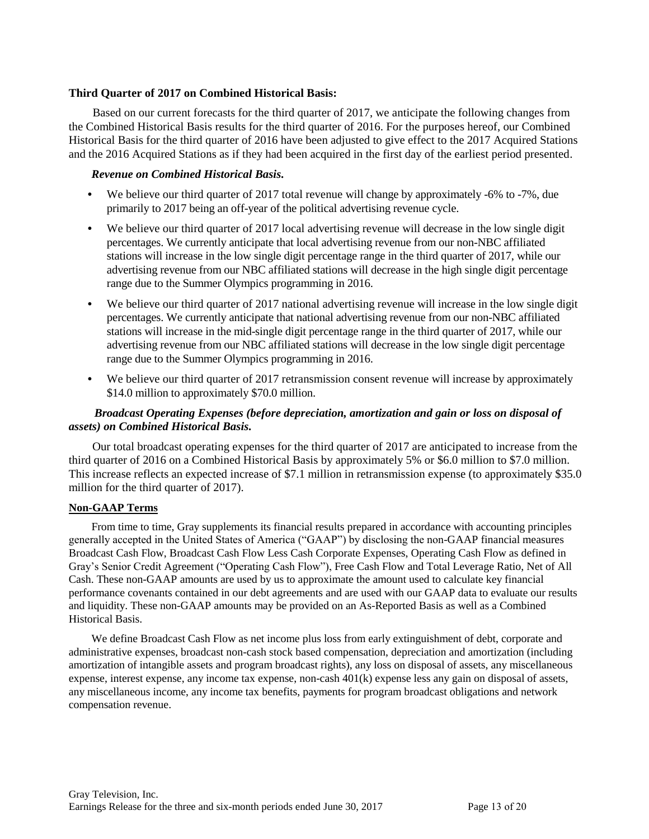## **Third Quarter of 2017 on Combined Historical Basis:**

Based on our current forecasts for the third quarter of 2017, we anticipate the following changes from the Combined Historical Basis results for the third quarter of 2016. For the purposes hereof, our Combined Historical Basis for the third quarter of 2016 have been adjusted to give effect to the 2017 Acquired Stations and the 2016 Acquired Stations as if they had been acquired in the first day of the earliest period presented.

### *Revenue on Combined Historical Basis.*

- We believe our third quarter of 2017 total revenue will change by approximately -6% to -7%, due primarily to 2017 being an off-year of the political advertising revenue cycle.
- We believe our third quarter of 2017 local advertising revenue will decrease in the low single digit percentages. We currently anticipate that local advertising revenue from our non-NBC affiliated stations will increase in the low single digit percentage range in the third quarter of 2017, while our advertising revenue from our NBC affiliated stations will decrease in the high single digit percentage range due to the Summer Olympics programming in 2016.
- **•** We believe our third quarter of 2017 national advertising revenue will increase in the low single digit percentages. We currently anticipate that national advertising revenue from our non-NBC affiliated stations will increase in the mid-single digit percentage range in the third quarter of 2017, while our advertising revenue from our NBC affiliated stations will decrease in the low single digit percentage range due to the Summer Olympics programming in 2016.
- We believe our third quarter of 2017 retransmission consent revenue will increase by approximately \$14.0 million to approximately \$70.0 million.

## *Broadcast Operating Expenses (before depreciation, amortization and gain or loss on disposal of assets) on Combined Historical Basis.*

Our total broadcast operating expenses for the third quarter of 2017 are anticipated to increase from the third quarter of 2016 on a Combined Historical Basis by approximately 5% or \$6.0 million to \$7.0 million. This increase reflects an expected increase of \$7.1 million in retransmission expense (to approximately \$35.0 million for the third quarter of 2017).

### **Non-GAAP Terms**

From time to time, Gray supplements its financial results prepared in accordance with accounting principles generally accepted in the United States of America ("GAAP") by disclosing the non-GAAP financial measures Broadcast Cash Flow, Broadcast Cash Flow Less Cash Corporate Expenses, Operating Cash Flow as defined in Gray's Senior Credit Agreement ("Operating Cash Flow"), Free Cash Flow and Total Leverage Ratio, Net of All Cash. These non-GAAP amounts are used by us to approximate the amount used to calculate key financial performance covenants contained in our debt agreements and are used with our GAAP data to evaluate our results and liquidity. These non-GAAP amounts may be provided on an As-Reported Basis as well as a Combined Historical Basis.

We define Broadcast Cash Flow as net income plus loss from early extinguishment of debt, corporate and administrative expenses, broadcast non-cash stock based compensation, depreciation and amortization (including amortization of intangible assets and program broadcast rights), any loss on disposal of assets, any miscellaneous expense, interest expense, any income tax expense, non-cash 401(k) expense less any gain on disposal of assets, any miscellaneous income, any income tax benefits, payments for program broadcast obligations and network compensation revenue.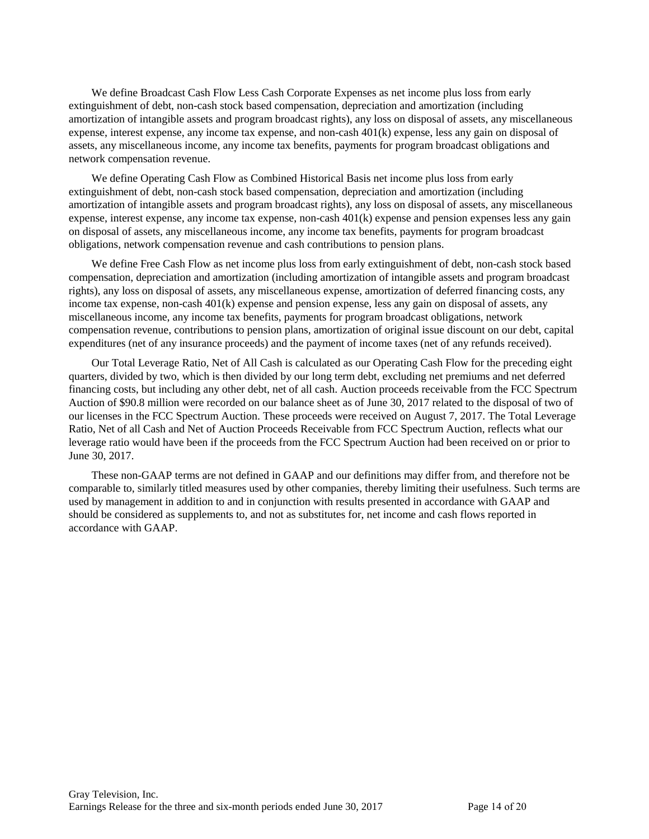We define Broadcast Cash Flow Less Cash Corporate Expenses as net income plus loss from early extinguishment of debt, non-cash stock based compensation, depreciation and amortization (including amortization of intangible assets and program broadcast rights), any loss on disposal of assets, any miscellaneous expense, interest expense, any income tax expense, and non-cash 401(k) expense, less any gain on disposal of assets, any miscellaneous income, any income tax benefits, payments for program broadcast obligations and network compensation revenue.

We define Operating Cash Flow as Combined Historical Basis net income plus loss from early extinguishment of debt, non-cash stock based compensation, depreciation and amortization (including amortization of intangible assets and program broadcast rights), any loss on disposal of assets, any miscellaneous expense, interest expense, any income tax expense, non-cash 401(k) expense and pension expenses less any gain on disposal of assets, any miscellaneous income, any income tax benefits, payments for program broadcast obligations, network compensation revenue and cash contributions to pension plans.

We define Free Cash Flow as net income plus loss from early extinguishment of debt, non-cash stock based compensation, depreciation and amortization (including amortization of intangible assets and program broadcast rights), any loss on disposal of assets, any miscellaneous expense, amortization of deferred financing costs, any income tax expense, non-cash 401(k) expense and pension expense, less any gain on disposal of assets, any miscellaneous income, any income tax benefits, payments for program broadcast obligations, network compensation revenue, contributions to pension plans, amortization of original issue discount on our debt, capital expenditures (net of any insurance proceeds) and the payment of income taxes (net of any refunds received).

Our Total Leverage Ratio, Net of All Cash is calculated as our Operating Cash Flow for the preceding eight quarters, divided by two, which is then divided by our long term debt, excluding net premiums and net deferred financing costs, but including any other debt, net of all cash. Auction proceeds receivable from the FCC Spectrum Auction of \$90.8 million were recorded on our balance sheet as of June 30, 2017 related to the disposal of two of our licenses in the FCC Spectrum Auction. These proceeds were received on August 7, 2017. The Total Leverage Ratio, Net of all Cash and Net of Auction Proceeds Receivable from FCC Spectrum Auction, reflects what our leverage ratio would have been if the proceeds from the FCC Spectrum Auction had been received on or prior to June 30, 2017.

These non-GAAP terms are not defined in GAAP and our definitions may differ from, and therefore not be comparable to, similarly titled measures used by other companies, thereby limiting their usefulness. Such terms are used by management in addition to and in conjunction with results presented in accordance with GAAP and should be considered as supplements to, and not as substitutes for, net income and cash flows reported in accordance with GAAP.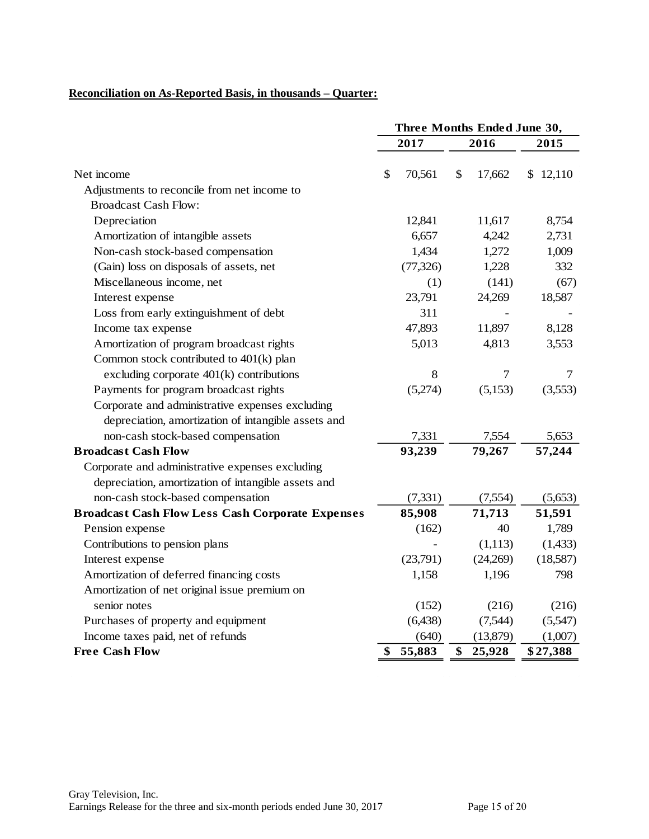# **Reconciliation on As-Reported Basis, in thousands – Quarter:**

|                                                         | Three Months Ended June 30, |           |    |          |          |
|---------------------------------------------------------|-----------------------------|-----------|----|----------|----------|
|                                                         |                             | 2017      |    | 2016     | 2015     |
| Net income                                              | \$                          | 70,561    | \$ | 17,662   | \$12,110 |
| Adjustments to reconcile from net income to             |                             |           |    |          |          |
| <b>Broadcast Cash Flow:</b>                             |                             |           |    |          |          |
| Depreciation                                            |                             | 12,841    |    | 11,617   | 8,754    |
| Amortization of intangible assets                       |                             | 6,657     |    | 4,242    | 2,731    |
| Non-cash stock-based compensation                       |                             | 1,434     |    | 1,272    | 1,009    |
| (Gain) loss on disposals of assets, net                 |                             | (77, 326) |    | 1,228    | 332      |
| Miscellaneous income, net                               |                             | (1)       |    | (141)    | (67)     |
| Interest expense                                        |                             | 23,791    |    | 24,269   | 18,587   |
| Loss from early extinguishment of debt                  |                             | 311       |    |          |          |
| Income tax expense                                      |                             | 47,893    |    | 11,897   | 8,128    |
| Amortization of program broadcast rights                |                             | 5,013     |    | 4,813    | 3,553    |
| Common stock contributed to 401(k) plan                 |                             |           |    |          |          |
| excluding corporate $401(k)$ contributions              |                             | 8         |    | 7        | 7        |
| Payments for program broadcast rights                   |                             | (5,274)   |    | (5,153)  | (3,553)  |
| Corporate and administrative expenses excluding         |                             |           |    |          |          |
| depreciation, amortization of intangible assets and     |                             |           |    |          |          |
| non-cash stock-based compensation                       |                             | 7,331     |    | 7,554    | 5,653    |
| <b>Broadcast Cash Flow</b>                              |                             | 93,239    |    | 79,267   | 57,244   |
| Corporate and administrative expenses excluding         |                             |           |    |          |          |
| depreciation, amortization of intangible assets and     |                             |           |    |          |          |
| non-cash stock-based compensation                       |                             | (7, 331)  |    | (7,554)  | (5,653)  |
| <b>Broadcast Cash Flow Less Cash Corporate Expenses</b> |                             | 85,908    |    | 71,713   | 51,591   |
| Pension expense                                         |                             | (162)     |    | 40       | 1,789    |
| Contributions to pension plans                          |                             |           |    | (1,113)  | (1,433)  |
| Interest expense                                        |                             | (23,791)  |    | (24,269) | (18,587) |
| Amortization of deferred financing costs                |                             | 1,158     |    | 1,196    | 798      |
| Amortization of net original issue premium on           |                             |           |    |          |          |
| senior notes                                            |                             | (152)     |    | (216)    | (216)    |
| Purchases of property and equipment                     |                             | (6, 438)  |    | (7,544)  | (5,547)  |
| Income taxes paid, net of refunds                       |                             | (640)     |    | (13,879) | (1,007)  |
| <b>Free Cash Flow</b>                                   |                             | 55,883    | \$ | 25,928   | \$27,388 |

 $\mathcal{L}_{\rm{max}}$ 

 $\mathcal{L}(\mathcal{L})$ 

 $\hat{\boldsymbol{\beta}}$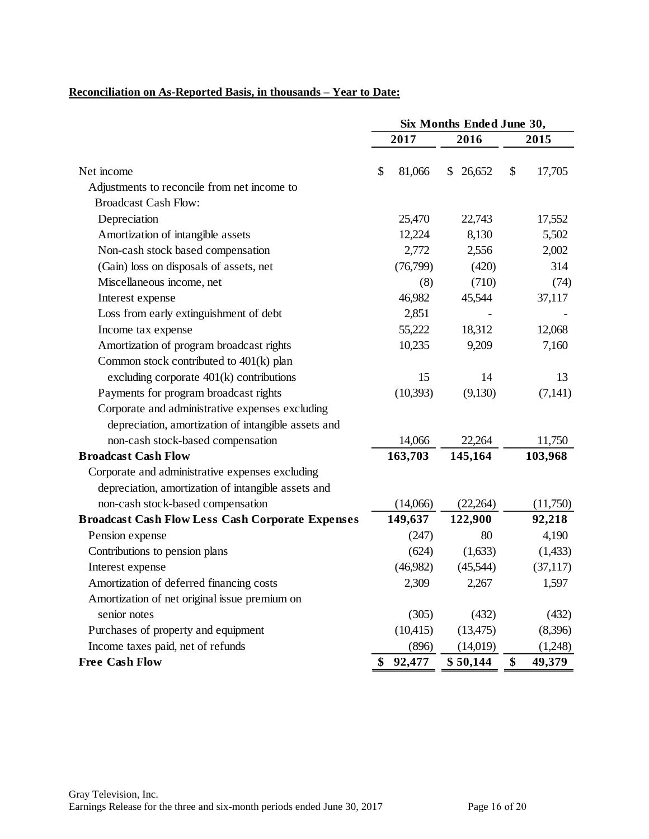# **Reconciliation on As-Reported Basis, in thousands – Year to Date:**

|                                                         | Six Months Ended June 30, |              |              |  |  |  |
|---------------------------------------------------------|---------------------------|--------------|--------------|--|--|--|
|                                                         | 2017                      | 2016         | 2015         |  |  |  |
| Net income                                              | \$<br>81,066              | 26,652<br>\$ | \$<br>17,705 |  |  |  |
| Adjustments to reconcile from net income to             |                           |              |              |  |  |  |
| <b>Broadcast Cash Flow:</b>                             |                           |              |              |  |  |  |
| Depreciation                                            | 25,470                    | 22,743       | 17,552       |  |  |  |
| Amortization of intangible assets                       | 12,224                    | 8,130        | 5,502        |  |  |  |
| Non-cash stock based compensation                       | 2,772                     | 2,556        | 2,002        |  |  |  |
| (Gain) loss on disposals of assets, net                 | (76,799)                  | (420)        | 314          |  |  |  |
| Miscellaneous income, net                               | (8)                       | (710)        | (74)         |  |  |  |
| Interest expense                                        | 46,982                    | 45,544       | 37,117       |  |  |  |
| Loss from early extinguishment of debt                  | 2,851                     |              |              |  |  |  |
| Income tax expense                                      | 55,222                    | 18,312       | 12,068       |  |  |  |
| Amortization of program broadcast rights                | 10,235                    | 9,209        | 7,160        |  |  |  |
| Common stock contributed to 401(k) plan                 |                           |              |              |  |  |  |
| excluding corporate $401(k)$ contributions              | 15                        | 14           | 13           |  |  |  |
| Payments for program broadcast rights                   | (10, 393)                 | (9,130)      | (7,141)      |  |  |  |
| Corporate and administrative expenses excluding         |                           |              |              |  |  |  |
| depreciation, amortization of intangible assets and     |                           |              |              |  |  |  |
| non-cash stock-based compensation                       | 14,066                    | 22,264       | 11,750       |  |  |  |
| <b>Broadcast Cash Flow</b>                              | 163,703                   | 145,164      | 103,968      |  |  |  |
| Corporate and administrative expenses excluding         |                           |              |              |  |  |  |
| depreciation, amortization of intangible assets and     |                           |              |              |  |  |  |
| non-cash stock-based compensation                       | (14,066)                  | (22,264)     | (11,750)     |  |  |  |
| <b>Broadcast Cash Flow Less Cash Corporate Expenses</b> | 149,637                   | 122,900      | 92,218       |  |  |  |
| Pension expense                                         | (247)                     | 80           | 4,190        |  |  |  |
| Contributions to pension plans                          | (624)                     | (1,633)      | (1,433)      |  |  |  |
| Interest expense                                        | (46,982)                  | (45,544)     | (37, 117)    |  |  |  |
| Amortization of deferred financing costs                | 2,309                     | 2,267        | 1,597        |  |  |  |
| Amortization of net original issue premium on           |                           |              |              |  |  |  |
| senior notes                                            | (305)                     | (432)        | (432)        |  |  |  |
| Purchases of property and equipment                     | (10, 415)                 | (13, 475)    | (8,396)      |  |  |  |
| Income taxes paid, net of refunds                       | (896)                     | (14,019)     | (1,248)      |  |  |  |
| <b>Free Cash Flow</b>                                   | 92,477<br>\$              | \$50,144     | \$<br>49,379 |  |  |  |

 $\mathcal{L}_{\mathcal{L}}$ 

 $\mathcal{L}_{\mathcal{L}}$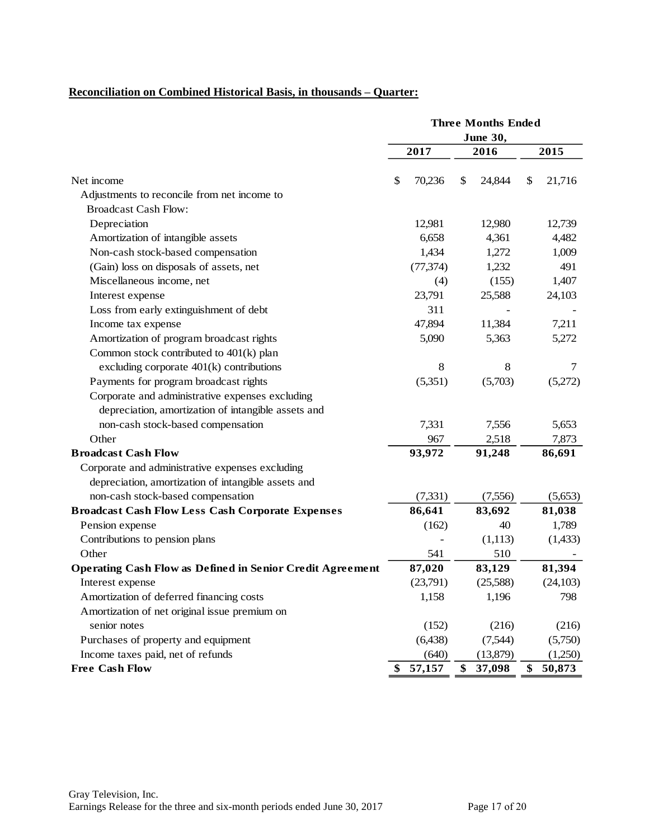# **Reconciliation on Combined Historical Basis, in thousands – Quarter:**

|                                                                  |    | <b>Three Months Ended</b><br><b>June 30,</b> |    |          |    |          |  |
|------------------------------------------------------------------|----|----------------------------------------------|----|----------|----|----------|--|
|                                                                  |    |                                              |    |          |    |          |  |
|                                                                  |    | 2017                                         |    | 2016     |    | 2015     |  |
| Net income                                                       | \$ | 70,236                                       | \$ | 24,844   | \$ | 21,716   |  |
| Adjustments to reconcile from net income to                      |    |                                              |    |          |    |          |  |
| <b>Broadcast Cash Flow:</b>                                      |    |                                              |    |          |    |          |  |
| Depreciation                                                     |    | 12,981                                       |    | 12,980   |    | 12,739   |  |
| Amortization of intangible assets                                |    | 6,658                                        |    | 4,361    |    | 4,482    |  |
| Non-cash stock-based compensation                                |    | 1,434                                        |    | 1,272    |    | 1,009    |  |
| (Gain) loss on disposals of assets, net                          |    | (77, 374)                                    |    | 1,232    |    | 491      |  |
| Miscellaneous income, net                                        |    | (4)                                          |    | (155)    |    | 1,407    |  |
| Interest expense                                                 |    | 23,791                                       |    | 25,588   |    | 24,103   |  |
| Loss from early extinguishment of debt                           |    | 311                                          |    |          |    |          |  |
| Income tax expense                                               |    | 47,894                                       |    | 11,384   |    | 7,211    |  |
| Amortization of program broadcast rights                         |    | 5,090                                        |    | 5,363    |    | 5,272    |  |
| Common stock contributed to 401(k) plan                          |    |                                              |    |          |    |          |  |
| excluding corporate $401(k)$ contributions                       |    | 8                                            |    | 8        |    | 7        |  |
| Payments for program broadcast rights                            |    | (5,351)                                      |    | (5,703)  |    | (5,272)  |  |
| Corporate and administrative expenses excluding                  |    |                                              |    |          |    |          |  |
| depreciation, amortization of intangible assets and              |    |                                              |    |          |    |          |  |
| non-cash stock-based compensation                                |    | 7,331                                        |    | 7,556    |    | 5,653    |  |
| Other                                                            |    | 967                                          |    | 2,518    |    | 7,873    |  |
| <b>Broadcast Cash Flow</b>                                       |    | 93,972                                       |    | 91,248   |    | 86,691   |  |
| Corporate and administrative expenses excluding                  |    |                                              |    |          |    |          |  |
| depreciation, amortization of intangible assets and              |    |                                              |    |          |    |          |  |
| non-cash stock-based compensation                                |    | (7, 331)                                     |    | (7,556)  |    | (5,653)  |  |
| <b>Broadcast Cash Flow Less Cash Corporate Expenses</b>          |    | 86,641                                       |    | 83,692   |    | 81,038   |  |
| Pension expense                                                  |    | (162)                                        |    | 40       |    | 1,789    |  |
| Contributions to pension plans                                   |    |                                              |    | (1,113)  |    | (1,433)  |  |
| Other                                                            |    | 541                                          |    | 510      |    |          |  |
| <b>Operating Cash Flow as Defined in Senior Credit Agreement</b> |    | 87,020                                       |    | 83,129   |    | 81,394   |  |
| Interest expense                                                 |    | (23,791)                                     |    | (25,588) |    | (24,103) |  |
| Amortization of deferred financing costs                         |    | 1,158                                        |    | 1,196    |    | 798      |  |
| Amortization of net original issue premium on                    |    |                                              |    |          |    |          |  |
| senior notes                                                     |    | (152)                                        |    | (216)    |    | (216)    |  |
| Purchases of property and equipment                              |    | (6, 438)                                     |    | (7,544)  |    | (5,750)  |  |
| Income taxes paid, net of refunds                                |    | (640)                                        |    | (13,879) |    | (1,250)  |  |
| <b>Free Cash Flow</b>                                            | \$ | 57,157                                       | \$ | 37,098   | \$ | 50,873   |  |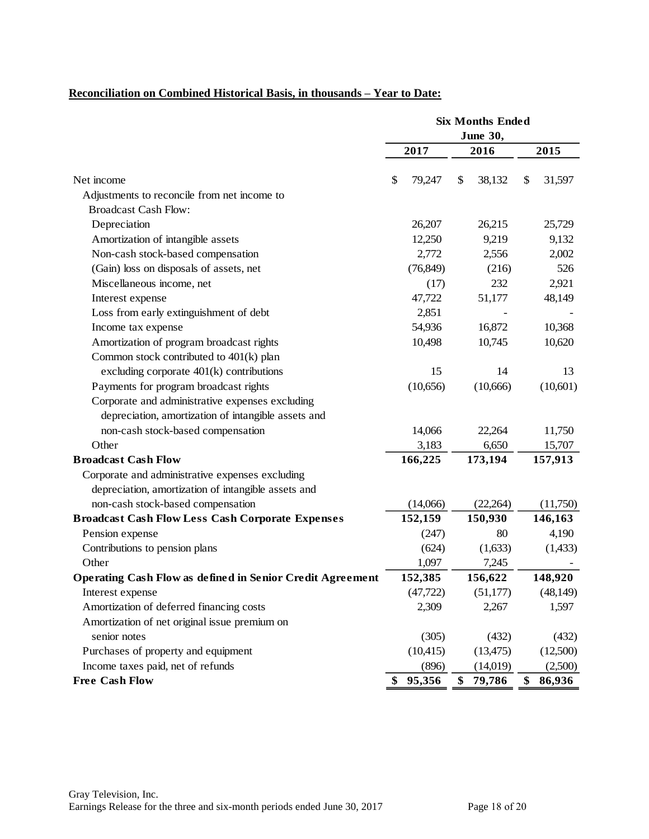# **Reconciliation on Combined Historical Basis, in thousands – Year to Date:**

|                                                                  |              | <b>Six Months Ended</b> |              |  |  |
|------------------------------------------------------------------|--------------|-------------------------|--------------|--|--|
|                                                                  |              | June 30,                |              |  |  |
|                                                                  | 2017         | 2016                    | 2015         |  |  |
| Net income                                                       | \$<br>79,247 | \$<br>38,132            | 31,597<br>\$ |  |  |
| Adjustments to reconcile from net income to                      |              |                         |              |  |  |
| <b>Broadcast Cash Flow:</b>                                      |              |                         |              |  |  |
| Depreciation                                                     | 26,207       | 26,215                  | 25,729       |  |  |
| Amortization of intangible assets                                | 12,250       | 9,219                   | 9,132        |  |  |
| Non-cash stock-based compensation                                | 2,772        | 2,556                   | 2,002        |  |  |
| (Gain) loss on disposals of assets, net                          | (76, 849)    | (216)                   | 526          |  |  |
| Miscellaneous income, net                                        | (17)         | 232                     | 2,921        |  |  |
| Interest expense                                                 | 47,722       | 51,177                  | 48,149       |  |  |
| Loss from early extinguishment of debt                           | 2,851        |                         |              |  |  |
| Income tax expense                                               | 54,936       | 16,872                  | 10,368       |  |  |
| Amortization of program broadcast rights                         | 10,498       | 10,745                  | 10,620       |  |  |
| Common stock contributed to 401(k) plan                          |              |                         |              |  |  |
| excluding corporate $401(k)$ contributions                       | 15           | 14                      | 13           |  |  |
| Payments for program broadcast rights                            | (10,656)     | (10,666)                | (10,601)     |  |  |
| Corporate and administrative expenses excluding                  |              |                         |              |  |  |
| depreciation, amortization of intangible assets and              |              |                         |              |  |  |
| non-cash stock-based compensation                                | 14,066       | 22,264                  | 11,750       |  |  |
| Other                                                            | 3,183        | 6,650                   | 15,707       |  |  |
| <b>Broadcast Cash Flow</b>                                       | 166,225      | 173,194                 | 157,913      |  |  |
| Corporate and administrative expenses excluding                  |              |                         |              |  |  |
| depreciation, amortization of intangible assets and              |              |                         |              |  |  |
| non-cash stock-based compensation                                | (14,066)     | (22,264)                | (11,750)     |  |  |
| <b>Broadcast Cash Flow Less Cash Corporate Expenses</b>          | 152,159      | 150,930                 | 146,163      |  |  |
| Pension expense                                                  | (247)        | 80                      | 4,190        |  |  |
| Contributions to pension plans                                   | (624)        | (1,633)                 | (1, 433)     |  |  |
| Other                                                            | 1,097        | 7,245                   |              |  |  |
| <b>Operating Cash Flow as defined in Senior Credit Agreement</b> | 152,385      | 156,622                 | 148,920      |  |  |
| Interest expense                                                 | (47, 722)    | (51, 177)               | (48, 149)    |  |  |
| Amortization of deferred financing costs                         | 2,309        | 2,267                   | 1,597        |  |  |
| Amortization of net original issue premium on                    |              |                         |              |  |  |
| senior notes                                                     | (305)        | (432)                   | (432)        |  |  |
| Purchases of property and equipment                              | (10, 415)    | (13, 475)               | (12,500)     |  |  |
| Income taxes paid, net of refunds                                | (896)        | (14,019)                | (2,500)      |  |  |
| <b>Free Cash Flow</b>                                            | 95,356<br>\$ | 79,786<br>\$            | 86,936<br>\$ |  |  |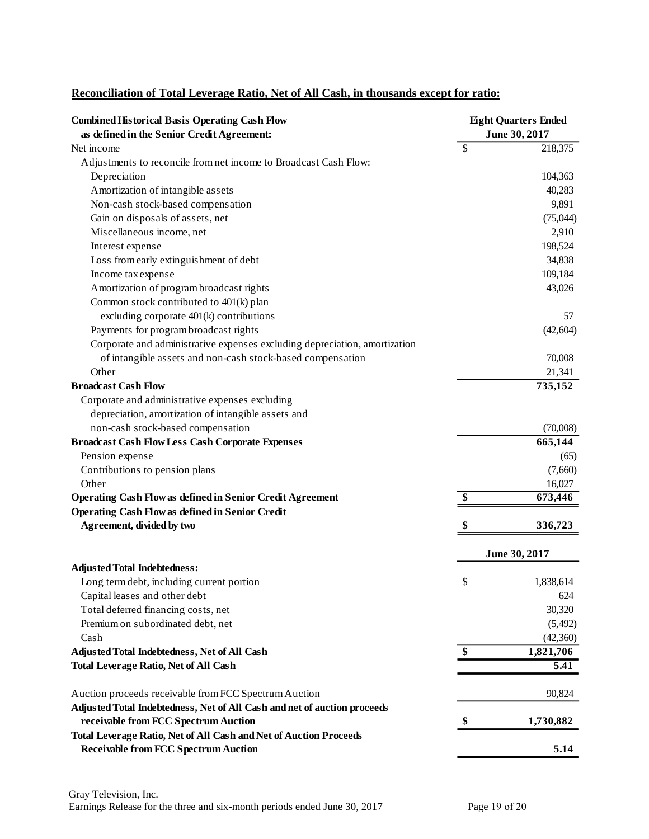| Reconciliation of Total Leverage Ratio, Net of All Cash, in thousands except for ratio: |  |  |
|-----------------------------------------------------------------------------------------|--|--|
|                                                                                         |  |  |

| \$<br>218,375<br>Net income<br>Adjustments to reconcile from net income to Broadcast Cash Flow:<br>104,363<br>Depreciation<br>Amortization of intangible assets<br>40,283<br>Non-cash stock-based compensation<br>9,891<br>Gain on disposals of assets, net<br>(75,044)<br>Miscellaneous income, net<br>2,910<br>198,524<br>Interest expense<br>34,838<br>Loss from early extinguishment of debt<br>109,184<br>Income tax expense<br>Amortization of program broadcast rights<br>43,026<br>Common stock contributed to 401(k) plan<br>excluding corporate 401(k) contributions<br>57<br>Payments for program broadcast rights<br>(42, 604)<br>Corporate and administrative expenses excluding depreciation, amortization<br>of intangible assets and non-cash stock-based compensation<br>70,008<br>Other<br>21,341<br><b>Broadcast Cash Flow</b><br>735,152<br>Corporate and administrative expenses excluding<br>depreciation, amortization of intangible assets and<br>non-cash stock-based compensation<br>(70,008)<br><b>Broadcast Cash Flow Less Cash Corporate Expenses</b><br>665,144<br>Pension expense<br>(65)<br>(7,660)<br>Contributions to pension plans<br>Other<br>16,027<br>\$<br>673,446<br><b>Operating Cash Flow as defined in Senior Credit Agreement</b><br><b>Operating Cash Flow as defined in Senior Credit</b><br>Agreement, divided by two<br>\$<br>336,723<br>June 30, 2017<br><b>Adjusted Total Indebtedness:</b><br>\$<br>1,838,614<br>Long term debt, including current portion<br>624<br>Capital leases and other debt<br>Total deferred financing costs, net<br>30,320<br>Premium on subordinated debt, net<br>(42,360)<br>Cash<br>\$<br>1,821,706<br>Adjusted Total Indebtedness, Net of All Cash<br><b>Total Leverage Ratio, Net of All Cash</b><br>5.41<br>Auction proceeds receivable from FCC Spectrum Auction<br>90,824<br>Adjusted Total Indebtedness, Net of All Cash and net of auction proceeds<br>receivable from FCC Spectrum Auction<br>\$<br>1,730,882<br>Total Leverage Ratio, Net of All Cash and Net of Auction Proceeds<br><b>Receivable from FCC Spectrum Auction</b><br>5.14 | <b>Combined Historical Basis Operating Cash Flow</b><br>as defined in the Senior Credit Agreement: | <b>Eight Quarters Ended</b><br>June 30, 2017 |
|----------------------------------------------------------------------------------------------------------------------------------------------------------------------------------------------------------------------------------------------------------------------------------------------------------------------------------------------------------------------------------------------------------------------------------------------------------------------------------------------------------------------------------------------------------------------------------------------------------------------------------------------------------------------------------------------------------------------------------------------------------------------------------------------------------------------------------------------------------------------------------------------------------------------------------------------------------------------------------------------------------------------------------------------------------------------------------------------------------------------------------------------------------------------------------------------------------------------------------------------------------------------------------------------------------------------------------------------------------------------------------------------------------------------------------------------------------------------------------------------------------------------------------------------------------------------------------------------------------------------------------------------------------------------------------------------------------------------------------------------------------------------------------------------------------------------------------------------------------------------------------------------------------------------------------------------------------------------------------------------------------------------------------------------------------------------------------------------------------------------------------|----------------------------------------------------------------------------------------------------|----------------------------------------------|
|                                                                                                                                                                                                                                                                                                                                                                                                                                                                                                                                                                                                                                                                                                                                                                                                                                                                                                                                                                                                                                                                                                                                                                                                                                                                                                                                                                                                                                                                                                                                                                                                                                                                                                                                                                                                                                                                                                                                                                                                                                                                                                                                  |                                                                                                    |                                              |
|                                                                                                                                                                                                                                                                                                                                                                                                                                                                                                                                                                                                                                                                                                                                                                                                                                                                                                                                                                                                                                                                                                                                                                                                                                                                                                                                                                                                                                                                                                                                                                                                                                                                                                                                                                                                                                                                                                                                                                                                                                                                                                                                  |                                                                                                    |                                              |
|                                                                                                                                                                                                                                                                                                                                                                                                                                                                                                                                                                                                                                                                                                                                                                                                                                                                                                                                                                                                                                                                                                                                                                                                                                                                                                                                                                                                                                                                                                                                                                                                                                                                                                                                                                                                                                                                                                                                                                                                                                                                                                                                  |                                                                                                    |                                              |
|                                                                                                                                                                                                                                                                                                                                                                                                                                                                                                                                                                                                                                                                                                                                                                                                                                                                                                                                                                                                                                                                                                                                                                                                                                                                                                                                                                                                                                                                                                                                                                                                                                                                                                                                                                                                                                                                                                                                                                                                                                                                                                                                  |                                                                                                    |                                              |
|                                                                                                                                                                                                                                                                                                                                                                                                                                                                                                                                                                                                                                                                                                                                                                                                                                                                                                                                                                                                                                                                                                                                                                                                                                                                                                                                                                                                                                                                                                                                                                                                                                                                                                                                                                                                                                                                                                                                                                                                                                                                                                                                  |                                                                                                    |                                              |
|                                                                                                                                                                                                                                                                                                                                                                                                                                                                                                                                                                                                                                                                                                                                                                                                                                                                                                                                                                                                                                                                                                                                                                                                                                                                                                                                                                                                                                                                                                                                                                                                                                                                                                                                                                                                                                                                                                                                                                                                                                                                                                                                  |                                                                                                    |                                              |
|                                                                                                                                                                                                                                                                                                                                                                                                                                                                                                                                                                                                                                                                                                                                                                                                                                                                                                                                                                                                                                                                                                                                                                                                                                                                                                                                                                                                                                                                                                                                                                                                                                                                                                                                                                                                                                                                                                                                                                                                                                                                                                                                  |                                                                                                    |                                              |
|                                                                                                                                                                                                                                                                                                                                                                                                                                                                                                                                                                                                                                                                                                                                                                                                                                                                                                                                                                                                                                                                                                                                                                                                                                                                                                                                                                                                                                                                                                                                                                                                                                                                                                                                                                                                                                                                                                                                                                                                                                                                                                                                  |                                                                                                    |                                              |
|                                                                                                                                                                                                                                                                                                                                                                                                                                                                                                                                                                                                                                                                                                                                                                                                                                                                                                                                                                                                                                                                                                                                                                                                                                                                                                                                                                                                                                                                                                                                                                                                                                                                                                                                                                                                                                                                                                                                                                                                                                                                                                                                  |                                                                                                    |                                              |
|                                                                                                                                                                                                                                                                                                                                                                                                                                                                                                                                                                                                                                                                                                                                                                                                                                                                                                                                                                                                                                                                                                                                                                                                                                                                                                                                                                                                                                                                                                                                                                                                                                                                                                                                                                                                                                                                                                                                                                                                                                                                                                                                  |                                                                                                    |                                              |
|                                                                                                                                                                                                                                                                                                                                                                                                                                                                                                                                                                                                                                                                                                                                                                                                                                                                                                                                                                                                                                                                                                                                                                                                                                                                                                                                                                                                                                                                                                                                                                                                                                                                                                                                                                                                                                                                                                                                                                                                                                                                                                                                  |                                                                                                    |                                              |
|                                                                                                                                                                                                                                                                                                                                                                                                                                                                                                                                                                                                                                                                                                                                                                                                                                                                                                                                                                                                                                                                                                                                                                                                                                                                                                                                                                                                                                                                                                                                                                                                                                                                                                                                                                                                                                                                                                                                                                                                                                                                                                                                  |                                                                                                    |                                              |
|                                                                                                                                                                                                                                                                                                                                                                                                                                                                                                                                                                                                                                                                                                                                                                                                                                                                                                                                                                                                                                                                                                                                                                                                                                                                                                                                                                                                                                                                                                                                                                                                                                                                                                                                                                                                                                                                                                                                                                                                                                                                                                                                  |                                                                                                    |                                              |
|                                                                                                                                                                                                                                                                                                                                                                                                                                                                                                                                                                                                                                                                                                                                                                                                                                                                                                                                                                                                                                                                                                                                                                                                                                                                                                                                                                                                                                                                                                                                                                                                                                                                                                                                                                                                                                                                                                                                                                                                                                                                                                                                  |                                                                                                    |                                              |
|                                                                                                                                                                                                                                                                                                                                                                                                                                                                                                                                                                                                                                                                                                                                                                                                                                                                                                                                                                                                                                                                                                                                                                                                                                                                                                                                                                                                                                                                                                                                                                                                                                                                                                                                                                                                                                                                                                                                                                                                                                                                                                                                  |                                                                                                    |                                              |
|                                                                                                                                                                                                                                                                                                                                                                                                                                                                                                                                                                                                                                                                                                                                                                                                                                                                                                                                                                                                                                                                                                                                                                                                                                                                                                                                                                                                                                                                                                                                                                                                                                                                                                                                                                                                                                                                                                                                                                                                                                                                                                                                  |                                                                                                    |                                              |
|                                                                                                                                                                                                                                                                                                                                                                                                                                                                                                                                                                                                                                                                                                                                                                                                                                                                                                                                                                                                                                                                                                                                                                                                                                                                                                                                                                                                                                                                                                                                                                                                                                                                                                                                                                                                                                                                                                                                                                                                                                                                                                                                  |                                                                                                    |                                              |
|                                                                                                                                                                                                                                                                                                                                                                                                                                                                                                                                                                                                                                                                                                                                                                                                                                                                                                                                                                                                                                                                                                                                                                                                                                                                                                                                                                                                                                                                                                                                                                                                                                                                                                                                                                                                                                                                                                                                                                                                                                                                                                                                  |                                                                                                    |                                              |
|                                                                                                                                                                                                                                                                                                                                                                                                                                                                                                                                                                                                                                                                                                                                                                                                                                                                                                                                                                                                                                                                                                                                                                                                                                                                                                                                                                                                                                                                                                                                                                                                                                                                                                                                                                                                                                                                                                                                                                                                                                                                                                                                  |                                                                                                    |                                              |
|                                                                                                                                                                                                                                                                                                                                                                                                                                                                                                                                                                                                                                                                                                                                                                                                                                                                                                                                                                                                                                                                                                                                                                                                                                                                                                                                                                                                                                                                                                                                                                                                                                                                                                                                                                                                                                                                                                                                                                                                                                                                                                                                  |                                                                                                    |                                              |
|                                                                                                                                                                                                                                                                                                                                                                                                                                                                                                                                                                                                                                                                                                                                                                                                                                                                                                                                                                                                                                                                                                                                                                                                                                                                                                                                                                                                                                                                                                                                                                                                                                                                                                                                                                                                                                                                                                                                                                                                                                                                                                                                  |                                                                                                    |                                              |
|                                                                                                                                                                                                                                                                                                                                                                                                                                                                                                                                                                                                                                                                                                                                                                                                                                                                                                                                                                                                                                                                                                                                                                                                                                                                                                                                                                                                                                                                                                                                                                                                                                                                                                                                                                                                                                                                                                                                                                                                                                                                                                                                  |                                                                                                    |                                              |
|                                                                                                                                                                                                                                                                                                                                                                                                                                                                                                                                                                                                                                                                                                                                                                                                                                                                                                                                                                                                                                                                                                                                                                                                                                                                                                                                                                                                                                                                                                                                                                                                                                                                                                                                                                                                                                                                                                                                                                                                                                                                                                                                  |                                                                                                    |                                              |
|                                                                                                                                                                                                                                                                                                                                                                                                                                                                                                                                                                                                                                                                                                                                                                                                                                                                                                                                                                                                                                                                                                                                                                                                                                                                                                                                                                                                                                                                                                                                                                                                                                                                                                                                                                                                                                                                                                                                                                                                                                                                                                                                  |                                                                                                    |                                              |
|                                                                                                                                                                                                                                                                                                                                                                                                                                                                                                                                                                                                                                                                                                                                                                                                                                                                                                                                                                                                                                                                                                                                                                                                                                                                                                                                                                                                                                                                                                                                                                                                                                                                                                                                                                                                                                                                                                                                                                                                                                                                                                                                  |                                                                                                    |                                              |
|                                                                                                                                                                                                                                                                                                                                                                                                                                                                                                                                                                                                                                                                                                                                                                                                                                                                                                                                                                                                                                                                                                                                                                                                                                                                                                                                                                                                                                                                                                                                                                                                                                                                                                                                                                                                                                                                                                                                                                                                                                                                                                                                  |                                                                                                    |                                              |
|                                                                                                                                                                                                                                                                                                                                                                                                                                                                                                                                                                                                                                                                                                                                                                                                                                                                                                                                                                                                                                                                                                                                                                                                                                                                                                                                                                                                                                                                                                                                                                                                                                                                                                                                                                                                                                                                                                                                                                                                                                                                                                                                  |                                                                                                    |                                              |
|                                                                                                                                                                                                                                                                                                                                                                                                                                                                                                                                                                                                                                                                                                                                                                                                                                                                                                                                                                                                                                                                                                                                                                                                                                                                                                                                                                                                                                                                                                                                                                                                                                                                                                                                                                                                                                                                                                                                                                                                                                                                                                                                  |                                                                                                    |                                              |
|                                                                                                                                                                                                                                                                                                                                                                                                                                                                                                                                                                                                                                                                                                                                                                                                                                                                                                                                                                                                                                                                                                                                                                                                                                                                                                                                                                                                                                                                                                                                                                                                                                                                                                                                                                                                                                                                                                                                                                                                                                                                                                                                  |                                                                                                    |                                              |
|                                                                                                                                                                                                                                                                                                                                                                                                                                                                                                                                                                                                                                                                                                                                                                                                                                                                                                                                                                                                                                                                                                                                                                                                                                                                                                                                                                                                                                                                                                                                                                                                                                                                                                                                                                                                                                                                                                                                                                                                                                                                                                                                  |                                                                                                    |                                              |
|                                                                                                                                                                                                                                                                                                                                                                                                                                                                                                                                                                                                                                                                                                                                                                                                                                                                                                                                                                                                                                                                                                                                                                                                                                                                                                                                                                                                                                                                                                                                                                                                                                                                                                                                                                                                                                                                                                                                                                                                                                                                                                                                  |                                                                                                    |                                              |
|                                                                                                                                                                                                                                                                                                                                                                                                                                                                                                                                                                                                                                                                                                                                                                                                                                                                                                                                                                                                                                                                                                                                                                                                                                                                                                                                                                                                                                                                                                                                                                                                                                                                                                                                                                                                                                                                                                                                                                                                                                                                                                                                  |                                                                                                    |                                              |
|                                                                                                                                                                                                                                                                                                                                                                                                                                                                                                                                                                                                                                                                                                                                                                                                                                                                                                                                                                                                                                                                                                                                                                                                                                                                                                                                                                                                                                                                                                                                                                                                                                                                                                                                                                                                                                                                                                                                                                                                                                                                                                                                  |                                                                                                    |                                              |
|                                                                                                                                                                                                                                                                                                                                                                                                                                                                                                                                                                                                                                                                                                                                                                                                                                                                                                                                                                                                                                                                                                                                                                                                                                                                                                                                                                                                                                                                                                                                                                                                                                                                                                                                                                                                                                                                                                                                                                                                                                                                                                                                  |                                                                                                    | (5,492)                                      |
|                                                                                                                                                                                                                                                                                                                                                                                                                                                                                                                                                                                                                                                                                                                                                                                                                                                                                                                                                                                                                                                                                                                                                                                                                                                                                                                                                                                                                                                                                                                                                                                                                                                                                                                                                                                                                                                                                                                                                                                                                                                                                                                                  |                                                                                                    |                                              |
|                                                                                                                                                                                                                                                                                                                                                                                                                                                                                                                                                                                                                                                                                                                                                                                                                                                                                                                                                                                                                                                                                                                                                                                                                                                                                                                                                                                                                                                                                                                                                                                                                                                                                                                                                                                                                                                                                                                                                                                                                                                                                                                                  |                                                                                                    |                                              |
|                                                                                                                                                                                                                                                                                                                                                                                                                                                                                                                                                                                                                                                                                                                                                                                                                                                                                                                                                                                                                                                                                                                                                                                                                                                                                                                                                                                                                                                                                                                                                                                                                                                                                                                                                                                                                                                                                                                                                                                                                                                                                                                                  |                                                                                                    |                                              |
|                                                                                                                                                                                                                                                                                                                                                                                                                                                                                                                                                                                                                                                                                                                                                                                                                                                                                                                                                                                                                                                                                                                                                                                                                                                                                                                                                                                                                                                                                                                                                                                                                                                                                                                                                                                                                                                                                                                                                                                                                                                                                                                                  |                                                                                                    |                                              |
|                                                                                                                                                                                                                                                                                                                                                                                                                                                                                                                                                                                                                                                                                                                                                                                                                                                                                                                                                                                                                                                                                                                                                                                                                                                                                                                                                                                                                                                                                                                                                                                                                                                                                                                                                                                                                                                                                                                                                                                                                                                                                                                                  |                                                                                                    |                                              |
|                                                                                                                                                                                                                                                                                                                                                                                                                                                                                                                                                                                                                                                                                                                                                                                                                                                                                                                                                                                                                                                                                                                                                                                                                                                                                                                                                                                                                                                                                                                                                                                                                                                                                                                                                                                                                                                                                                                                                                                                                                                                                                                                  |                                                                                                    |                                              |
|                                                                                                                                                                                                                                                                                                                                                                                                                                                                                                                                                                                                                                                                                                                                                                                                                                                                                                                                                                                                                                                                                                                                                                                                                                                                                                                                                                                                                                                                                                                                                                                                                                                                                                                                                                                                                                                                                                                                                                                                                                                                                                                                  |                                                                                                    |                                              |